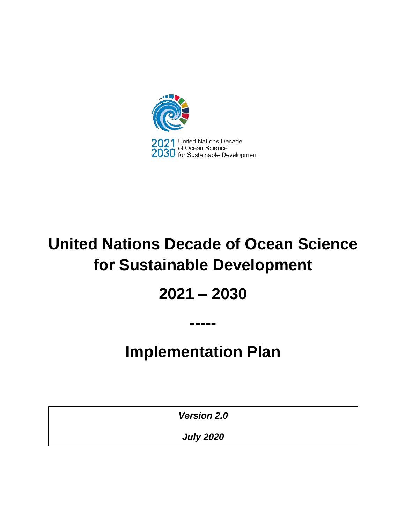

# **United Nations Decade of Ocean Science for Sustainable Development**

# **2021 – 2030**

# **Implementation Plan**

**-----**

*Version 2.0*

*July 2020*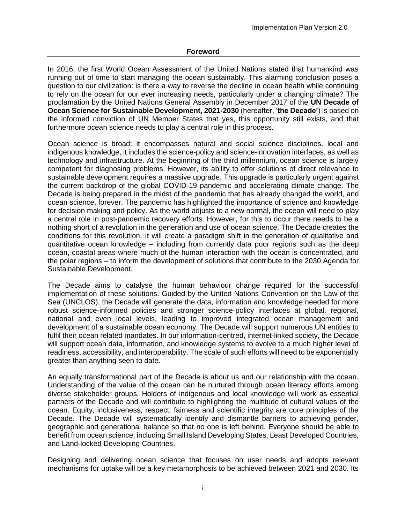In 2016, the first World Ocean Assessment of the United Nations stated that humankind was running out of time to start managing the ocean sustainably. This alarming conclusion poses a question to our civilization: is there a way to reverse the decline in ocean health while continuing to rely on the ocean for our ever increasing needs, particularly under a changing climate? The proclamation by the United Nations General Assembly in December 2017 of the **UN Decade of Ocean Science for Sustainable Development, 2021-2030** (hereafter, '**the Decade'**) is based on the informed conviction of UN Member States that yes, this opportunity still exists, and that furthermore ocean science needs to play a central role in this process.

Ocean science is broad: it encompasses natural and social science disciplines, local and indigenous knowledge, it includes the science-policy and science-innovation interfaces, as well as technology and infrastructure. At the beginning of the third millennium, ocean science is largely competent for diagnosing problems. However, its ability to offer solutions of direct relevance to sustainable development requires a massive upgrade. This upgrade is particularly urgent against the current backdrop of the global COVID-19 pandemic and accelerating climate change. The Decade is being prepared in the midst of the pandemic that has already changed the world, and ocean science, forever. The pandemic has highlighted the importance of science and knowledge for decision making and policy. As the world adjusts to a new normal, the ocean will need to play a central role in post-pandemic recovery efforts. However, for this to occur there needs to be a nothing short of a revolution in the generation and use of ocean science. The Decade creates the conditions for this revolution. It will create a paradigm shift in the generation of qualitative and quantitative ocean knowledge – including from currently data poor regions such as the deep ocean, coastal areas where much of the human interaction with the ocean is concentrated, and the polar regions – to inform the development of solutions that contribute to the 2030 Agenda for Sustainable Development.

The Decade aims to catalyse the human behaviour change required for the successful implementation of these solutions. Guided by the United Nations Convention on the Law of the Sea (UNCLOS), the Decade will generate the data, information and knowledge needed for more robust science-informed policies and stronger science-policy interfaces at global, regional, national and even local levels, leading to improved integrated ocean management and development of a sustainable ocean economy. The Decade will support numerous UN entities to fulfil their ocean related mandates. In our information-centred, internet-linked society, the Decade will support ocean data, information, and knowledge systems to evolve to a much higher level of readiness, accessibility, and interoperability. The scale of such efforts will need to be exponentially greater than anything seen to date.

An equally transformational part of the Decade is about us and our relationship with the ocean. Understanding of the value of the ocean can be nurtured through ocean literacy efforts among diverse stakeholder groups. Holders of indigenous and local knowledge will work as essential partners of the Decade and will contribute to highlighting the multitude of cultural values of the ocean. Equity, inclusiveness, respect, fairness and scientific integrity are core principles of the Decade. The Decade will systematically identify and dismantle barriers to achieving gender, geographic and generational balance so that no one is left behind. Everyone should be able to benefit from ocean science, including Small Island Developing States, Least Developed Countries, and Land-locked Developing Countries.

Designing and delivering ocean science that focuses on user needs and adopts relevant mechanisms for uptake will be a key metamorphosis to be achieved between 2021 and 2030. Its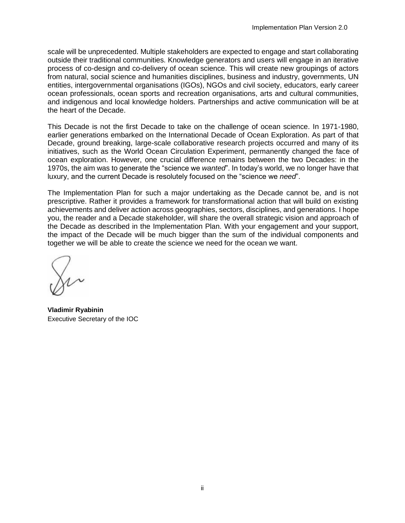scale will be unprecedented. Multiple stakeholders are expected to engage and start collaborating outside their traditional communities. Knowledge generators and users will engage in an iterative process of co-design and co-delivery of ocean science. This will create new groupings of actors from natural, social science and humanities disciplines, business and industry, governments, UN entities, intergovernmental organisations (IGOs), NGOs and civil society, educators, early career ocean professionals, ocean sports and recreation organisations, arts and cultural communities, and indigenous and local knowledge holders. Partnerships and active communication will be at the heart of the Decade.

This Decade is not the first Decade to take on the challenge of ocean science. In 1971-1980, earlier generations embarked on the International Decade of Ocean Exploration. As part of that Decade, ground breaking, large-scale collaborative research projects occurred and many of its initiatives, such as the World Ocean Circulation Experiment, permanently changed the face of ocean exploration. However, one crucial difference remains between the two Decades: in the 1970s, the aim was to generate the "science we *wanted*". In today's world, we no longer have that luxury, and the current Decade is resolutely focused on the "science we *need*".

The Implementation Plan for such a major undertaking as the Decade cannot be, and is not prescriptive. Rather it provides a framework for transformational action that will build on existing achievements and deliver action across geographies, sectors, disciplines, and generations. I hope you, the reader and a Decade stakeholder, will share the overall strategic vision and approach of the Decade as described in the Implementation Plan. With your engagement and your support, the impact of the Decade will be much bigger than the sum of the individual components and together we will be able to create the science we need for the ocean we want.

**Vladimir Ryabinin** Executive Secretary of the IOC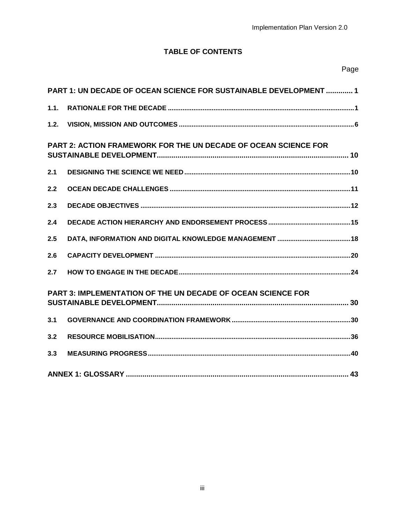# **TABLE OF CONTENTS**

|      | <b>PART 1: UN DECADE OF OCEAN SCIENCE FOR SUSTAINABLE DEVELOPMENT  1</b> |
|------|--------------------------------------------------------------------------|
| 1.1. |                                                                          |
| 1.2. |                                                                          |
|      | <b>PART 2: ACTION FRAMEWORK FOR THE UN DECADE OF OCEAN SCIENCE FOR</b>   |
| 2.1  |                                                                          |
| 2.2  |                                                                          |
| 2.3  |                                                                          |
| 2.4  |                                                                          |
| 2.5  |                                                                          |
| 2.6  |                                                                          |
| 2.7  |                                                                          |
|      | PART 3: IMPLEMENTATION OF THE UN DECADE OF OCEAN SCIENCE FOR             |
| 3.1  |                                                                          |
| 3.2  |                                                                          |
| 3.3  |                                                                          |
|      |                                                                          |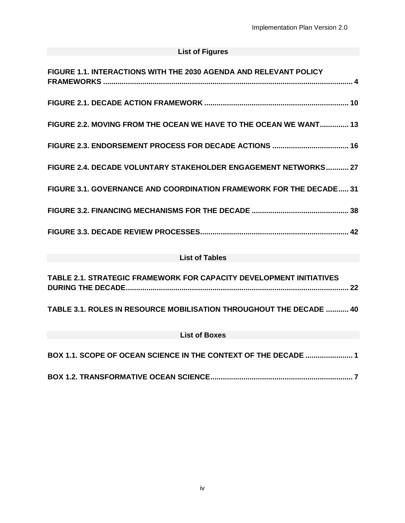# **List of Figures**

| FIGURE 1.1. INTERACTIONS WITH THE 2030 AGENDA AND RELEVANT POLICY   |
|---------------------------------------------------------------------|
|                                                                     |
| FIGURE 2.2. MOVING FROM THE OCEAN WE HAVE TO THE OCEAN WE WANT 13   |
|                                                                     |
| FIGURE 2.4. DECADE VOLUNTARY STAKEHOLDER ENGAGEMENT NETWORKS 27     |
| FIGURE 3.1. GOVERNANCE AND COORDINATION FRAMEWORK FOR THE DECADE 31 |
|                                                                     |
|                                                                     |
| <b>List of Tables</b>                                               |
| TABLE 2.1. STRATEGIC FRAMEWORK FOR CAPACITY DEVELOPMENT INITIATIVES |
| TABLE 3.1. ROLES IN RESOURCE MOBILISATION THROUGHOUT THE DECADE  40 |
| <b>List of Boxes</b>                                                |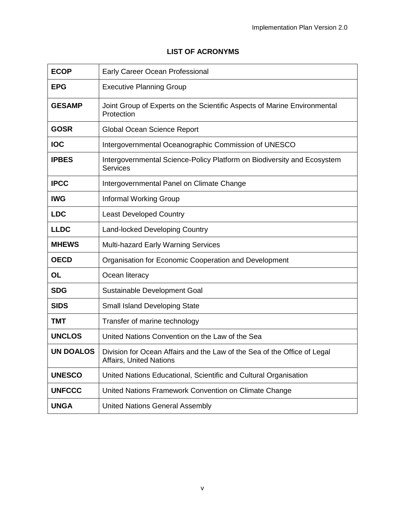# **LIST OF ACRONYMS**

| <b>ECOP</b>      | Early Career Ocean Professional                                                                            |
|------------------|------------------------------------------------------------------------------------------------------------|
| <b>EPG</b>       | <b>Executive Planning Group</b>                                                                            |
| <b>GESAMP</b>    | Joint Group of Experts on the Scientific Aspects of Marine Environmental<br>Protection                     |
| <b>GOSR</b>      | Global Ocean Science Report                                                                                |
| <b>IOC</b>       | Intergovernmental Oceanographic Commission of UNESCO                                                       |
| <b>IPBES</b>     | Intergovernmental Science-Policy Platform on Biodiversity and Ecosystem<br><b>Services</b>                 |
| <b>IPCC</b>      | Intergovernmental Panel on Climate Change                                                                  |
| <b>IWG</b>       | <b>Informal Working Group</b>                                                                              |
| <b>LDC</b>       | <b>Least Developed Country</b>                                                                             |
| <b>LLDC</b>      | <b>Land-locked Developing Country</b>                                                                      |
| <b>MHEWS</b>     | Multi-hazard Early Warning Services                                                                        |
| <b>OECD</b>      | Organisation for Economic Cooperation and Development                                                      |
| <b>OL</b>        | Ocean literacy                                                                                             |
| <b>SDG</b>       | Sustainable Development Goal                                                                               |
| <b>SIDS</b>      | Small Island Developing State                                                                              |
| TMT              | Transfer of marine technology                                                                              |
| <b>UNCLOS</b>    | United Nations Convention on the Law of the Sea                                                            |
| <b>UN DOALOS</b> | Division for Ocean Affairs and the Law of the Sea of the Office of Legal<br><b>Affairs, United Nations</b> |
| <b>UNESCO</b>    | United Nations Educational, Scientific and Cultural Organisation                                           |
| <b>UNFCCC</b>    | United Nations Framework Convention on Climate Change                                                      |
| <b>UNGA</b>      | <b>United Nations General Assembly</b>                                                                     |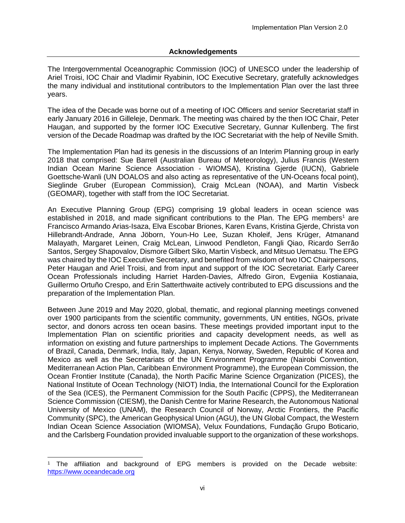#### **Acknowledgements**

The Intergovernmental Oceanographic Commission (IOC) of UNESCO under the leadership of Ariel Troisi, IOC Chair and Vladimir Ryabinin, IOC Executive Secretary, gratefully acknowledges the many individual and institutional contributors to the Implementation Plan over the last three years.

The idea of the Decade was borne out of a meeting of IOC Officers and senior Secretariat staff in early January 2016 in Gilleleje, Denmark. The meeting was chaired by the then IOC Chair, Peter Haugan, and supported by the former IOC Executive Secretary, Gunnar Kullenberg. The first version of the Decade Roadmap was drafted by the IOC Secretariat with the help of Neville Smith.

The Implementation Plan had its genesis in the discussions of an Interim Planning group in early 2018 that comprised: Sue Barrell (Australian Bureau of Meteorology), Julius Francis (Western Indian Ocean Marine Science Association - WIOMSA), Kristina Gjerde (IUCN), Gabriele Goettsche-Wanli (UN DOALOS and also acting as representative of the UN-Oceans focal point), Sieglinde Gruber (European Commission), Craig McLean (NOAA), and Martin Visbeck (GEOMAR), together with staff from the IOC Secretariat.

An Executive Planning Group (EPG) comprising 19 global leaders in ocean science was established in 2018, and made significant contributions to the Plan. The EPG members<sup>1</sup> are Francisco Armando Arias-Isaza, Elva Escobar Briones, Karen Evans, Kristina Gjerde, Christa von Hillebrandt-Andrade, Anna Jöborn, Youn-Ho Lee, Suzan Kholeif, Jens Krüger, Atmanand Malayath, Margaret Leinen, Craig McLean, Linwood Pendleton, Fangli Qiao, Ricardo Serrão Santos, Sergey Shapovalov, Dismore Gilbert Siko, Martin Visbeck, and Mitsuo Uematsu. The EPG was chaired by the IOC Executive Secretary, and benefited from wisdom of two IOC Chairpersons, Peter Haugan and Ariel Troisi, and from input and support of the IOC Secretariat. Early Career Ocean Professionals including Harriet Harden-Davies, Alfredo Giron, Evgeniia Kostianaia, Guillermo Ortuño Crespo, and Erin Satterthwaite actively contributed to EPG discussions and the preparation of the Implementation Plan.

Between June 2019 and May 2020, global, thematic, and regional planning meetings convened over 1900 participants from the scientific community, governments, UN entities, NGOs, private sector, and donors across ten ocean basins. These meetings provided important input to the Implementation Plan on scientific priorities and capacity development needs, as well as information on existing and future partnerships to implement Decade Actions. The Governments of Brazil, Canada, Denmark, India, Italy, Japan, Kenya, Norway, Sweden, Republic of Korea and Mexico as well as the Secretariats of the UN Environment Programme (Nairobi Convention, Mediterranean Action Plan, Caribbean Environment Programme), the European Commission, the Ocean Frontier Institute (Canada), the North Pacific Marine Science Organization (PICES), the National Institute of Ocean Technology (NIOT) India, the International Council for the Exploration of the Sea (ICES), the Permanent Commission for the South Pacific (CPPS), the Mediterranean Science Commission (CIESM), the Danish Centre for Marine Research, the Autonomous National University of Mexico (UNAM), the Research Council of Norway, Arctic Frontiers, the Pacific Community (SPC), the American Geophysical Union (AGU), the UN Global Compact, the Western Indian Ocean Science Association (WIOMSA), Velux Foundations, Fundação Grupo Boticario, and the Carlsberg Foundation provided invaluable support to the organization of these workshops.

l

<sup>1</sup> The affiliation and background of EPG members is provided on the Decade website: [https://www.oceandecade.org](https://www.oceandecade.org/)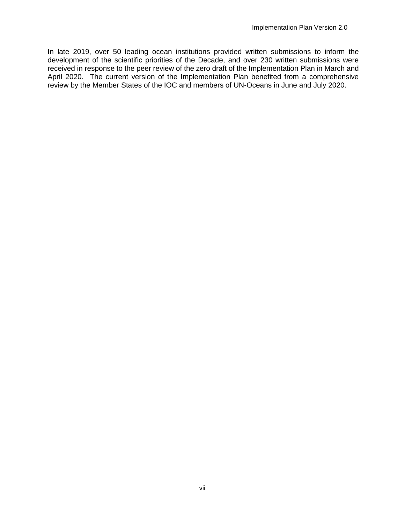In late 2019, over 50 leading ocean institutions provided written submissions to inform the development of the scientific priorities of the Decade, and over 230 written submissions were received in response to the peer review of the zero draft of the Implementation Plan in March and April 2020. The current version of the Implementation Plan benefited from a comprehensive review by the Member States of the IOC and members of UN-Oceans in June and July 2020.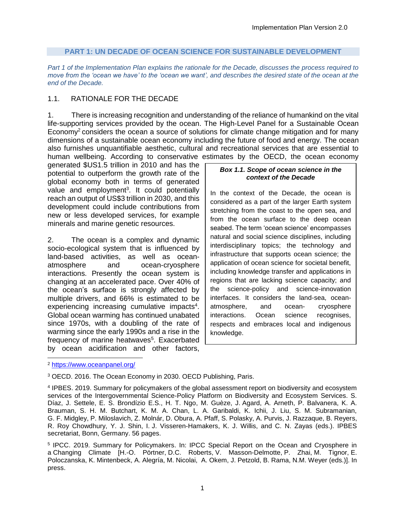#### **PART 1: UN DECADE OF OCEAN SCIENCE FOR SUSTAINABLE DEVELOPMENT**

<span id="page-8-0"></span>*Part 1 of the Implementation Plan explains the rationale for the Decade, discusses the process required to move from the 'ocean we have' to the 'ocean we want', and describes the desired state of the ocean at the end of the Decade.*

## <span id="page-8-1"></span>1.1. RATIONALE FOR THE DECADE

1. There is increasing recognition and understanding of the reliance of humankind on the vital life-supporting services provided by the ocean. The High-Level Panel for a Sustainable Ocean Economy<sup>2</sup> considers the ocean a source of solutions for climate change mitigation and for many dimensions of a sustainable ocean economy including the future of food and energy. The ocean also furnishes unquantifiable aesthetic, cultural and recreational services that are essential to human wellbeing. According to conservative estimates by the OECD, the ocean economy

generated \$US1.5 trillion in 2010 and has the potential to outperform the growth rate of the global economy both in terms of generated value and employment<sup>3</sup>. It could potentially reach an output of US\$3 trillion in 2030, and this development could include contributions from new or less developed services, for example minerals and marine genetic resources.

2. The ocean is a complex and dynamic socio-ecological system that is influenced by land-based activities, as well as oceanatmosphere and ocean-cryosphere interactions. Presently the ocean system is changing at an accelerated pace. Over 40% of the ocean's surface is strongly affected by multiple drivers, and 66% is estimated to be experiencing increasing cumulative impacts<sup>4</sup>. Global ocean warming has continued unabated since 1970s, with a doubling of the rate of warming since the early 1990s and a rise in the frequency of marine heatwaves<sup>5</sup>. Exacerbated by ocean acidification and other factors,

#### *Box 1.1. Scope of ocean science in the context of the Decade*

In the context of the Decade, the ocean is considered as a part of the larger Earth system stretching from the coast to the open sea, and from the ocean surface to the deep ocean seabed. The term 'ocean science' encompasses natural and social science disciplines, including interdisciplinary topics; the technology and infrastructure that supports ocean science; the application of ocean science for societal benefit, including knowledge transfer and applications in regions that are lacking science capacity; and the science-policy and science-innovation interfaces. It considers the land-sea, oceanatmosphere, and ocean- cryosphere interactions. Ocean science recognises, respects and embraces local and indigenous knowledge.

l

<sup>2</sup> <https://www.oceanpanel.org/>

<sup>3</sup> OECD. 2016. The Ocean Economy in 2030. OECD Publishing, Paris. *in the context of the Decade*

<sup>&</sup>lt;sup>4</sup> IPBES. 2019. Summary for policymakers of the global assessment report on biodiversity and ecosystem services of the Intergovernmental Science-Policy Platform on Biodiversity and Ecosystem Services. S. Díaz, J. Settele, E. S. Brondízio E.S., H. T. Ngo, M. Guèze, J. Agard, A. Arneth, P. Balvanera, K. A. Braz, J. Sellele, L. S. Brondizio L.S., H. T. Ngo, M. Gueze, J. Agaru, A. Amelii, F. Balvanera, R. A.<br>Brauman, S. H. M. Butchart, K. M. A. Chan, L. A. Garibaldi, K. Ichii, J. Liu, S. M. Subramanian, Bradman, G. T. M. Batenart, K. M. A. Shan, E. A. Sanbalai, K. Tellii, S. Eld, S. M. Sabramaniari,<br>G. F. Midgley, P. Miloslavich, Z. Molnár, D. Obura, A. Pfaff, S. Polasky, A. Purvis, J. Razzaque, B. Reyers, R. Roy Chowdhury, Y. J. Shin, I. J. Visseren-Hamakers, K. J. Willis, and C. N. Zayas (eds.). IPBES secretariat, Bonn, Germany. 56 pages. science; the application of ocean science for societal

<sup>&</sup>lt;sup>5</sup> IPCC. 2019. Summary for Policymakers. In: IPCC Special Report on the Ocean and Cryosphere in a Changing Climate [H.-O. Pörtner, D.C. Roberts, V. Masson-Delmotte, P. Zhai, M. Tignor, E. Poloczanska, K. Mintenbeck, A. Alegría, M. Nicolai, A. Okem, J. Petzold, B. Rama, N.M. Weyer (eds.)]. In press.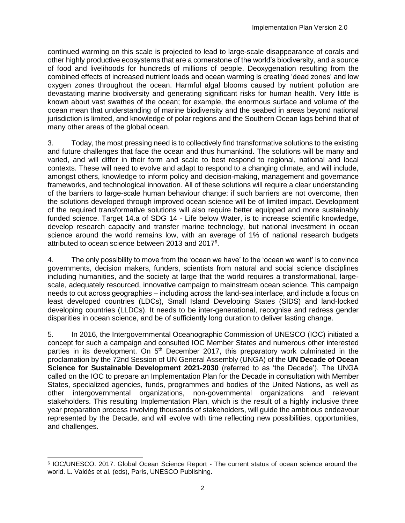continued warming on this scale is projected to lead to large-scale disappearance of corals and other highly productive ecosystems that are a cornerstone of the world's biodiversity, and a source of food and livelihoods for hundreds of millions of people. Deoxygenation resulting from the combined effects of increased nutrient loads and ocean warming is creating 'dead zones' and low oxygen zones throughout the ocean. Harmful algal blooms caused by nutrient pollution are devastating marine biodiversity and generating significant risks for human health. Very little is known about vast swathes of the ocean; for example, the enormous surface and volume of the ocean mean that understanding of marine biodiversity and the seabed in areas beyond national jurisdiction is limited, and knowledge of polar regions and the Southern Ocean lags behind that of many other areas of the global ocean.

3. Today, the most pressing need is to collectively find transformative solutions to the existing and future challenges that face the ocean and thus humankind. The solutions will be many and varied, and will differ in their form and scale to best respond to regional, national and local contexts. These will need to evolve and adapt to respond to a changing climate, and will include, amongst others, knowledge to inform policy and decision-making, management and governance frameworks, and technological innovation. All of these solutions will require a clear understanding of the barriers to large-scale human behaviour change: if such barriers are not overcome, then the solutions developed through improved ocean science will be of limited impact. Development of the required transformative solutions will also require better equipped and more sustainably funded science. Target 14.a of SDG 14 - Life below Water, is to increase scientific knowledge, develop research capacity and transfer marine technology, but national investment in ocean science around the world remains low, with an average of 1% of national research budgets attributed to ocean science between 2013 and 2017<sup>6</sup>.

4. The only possibility to move from the 'ocean we have' to the 'ocean we want' is to convince governments, decision makers, funders, scientists from natural and social science disciplines including humanities, and the society at large that the world requires a transformational, largescale, adequately resourced, innovative campaign to mainstream ocean science. This campaign needs to cut across geographies – including across the land-sea interface, and include a focus on least developed countries (LDCs), Small Island Developing States (SIDS) and land-locked developing countries (LLDCs). It needs to be inter-generational, recognise and redress gender disparities in ocean science, and be of sufficiently long duration to deliver lasting change.

5. In 2016, the Intergovernmental Oceanographic Commission of UNESCO (IOC) initiated a concept for such a campaign and consulted IOC Member States and numerous other interested parties in its development. On  $5<sup>th</sup>$  December 2017, this preparatory work culminated in the proclamation by the 72nd Session of UN General Assembly (UNGA) of the **UN Decade of Ocean Science for Sustainable Development 2021-2030** (referred to as 'the Decade'). The UNGA called on the IOC to prepare an Implementation Plan for the Decade in consultation with Member States, specialized agencies, funds, programmes and bodies of the United Nations, as well as other intergovernmental organizations, non-governmental organizations and relevant stakeholders. This resulting Implementation Plan, which is the result of a highly inclusive three year preparation process involving thousands of stakeholders, will guide the ambitious endeavour represented by the Decade, and will evolve with time reflecting new possibilities, opportunities, and challenges.

l 6 IOC/UNESCO. 2017. Global Ocean Science Report - The current status of ocean science around the world. L. Valdés et al. (eds), Paris, UNESCO Publishing.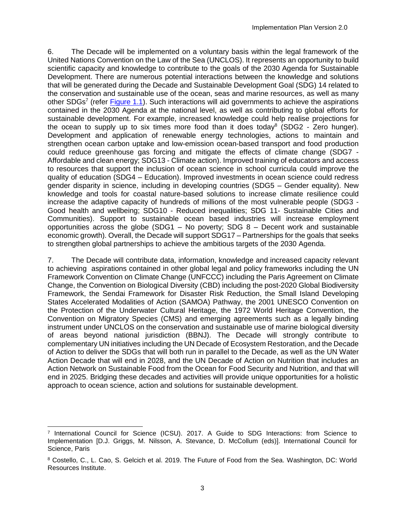6. The Decade will be implemented on a voluntary basis within the legal framework of the United Nations Convention on the Law of the Sea (UNCLOS). It represents an opportunity to build scientific capacity and knowledge to contribute to the goals of the 2030 Agenda for Sustainable Development. There are numerous potential interactions between the knowledge and solutions that will be generated during the Decade and Sustainable Development Goal (SDG) 14 related to the conservation and sustainable use of the ocean, seas and marine resources, as well as many other SDGs<sup>7</sup> (refer *Figure 1.1*). Such interactions will aid governments to achieve the aspirations contained in the 2030 Agenda at the national level, as well as contributing to global efforts for sustainable development. For example, increased knowledge could help realise projections for the ocean to supply up to six times more food than it does today<sup>8</sup> (SDG2 - Zero hunger). Development and application of renewable energy technologies, actions to maintain and strengthen ocean carbon uptake and low-emission ocean-based transport and food production could reduce greenhouse gas forcing and mitigate the effects of climate change (SDG7 - Affordable and clean energy; SDG13 - Climate action). Improved training of educators and access to resources that support the inclusion of ocean science in school curricula could improve the quality of education (SDG4 – Education). Improved investments in ocean science could redress gender disparity in science, including in developing countries (SDG5 – Gender equality). New knowledge and tools for coastal nature-based solutions to increase climate resilience could increase the adaptive capacity of hundreds of millions of the most vulnerable people (SDG3 - Good health and wellbeing; SDG10 - Reduced inequalities; SDG 11- Sustainable Cities and Communities). Support to sustainable ocean based industries will increase employment opportunities across the globe  $(SDG1 - No$  poverty; SDG  $8 - Decent$  work and sustainable economic growth). Overall, the Decade will support SDG17 – Partnerships for the goals that seeks to strengthen global partnerships to achieve the ambitious targets of the 2030 Agenda.

7. The Decade will contribute data, information, knowledge and increased capacity relevant to achieving aspirations contained in other global legal and policy frameworks including the UN Framework Convention on Climate Change (UNFCCC) including the Paris Agreement on Climate Change, the Convention on Biological Diversity (CBD) including the post-2020 Global Biodiversity Framework, the Sendai Framework for Disaster Risk Reduction, the Small Island Developing States Accelerated Modalities of Action (SAMOA) Pathway, the 2001 UNESCO Convention on the Protection of the Underwater Cultural Heritage, the 1972 World Heritage Convention, the Convention on Migratory Species (CMS) and emerging agreements such as a legally binding instrument under UNCLOS on the conservation and sustainable use of marine biological diversity of areas beyond national jurisdiction (BBNJ). The Decade will strongly contribute to complementary UN initiatives including the UN Decade of Ecosystem Restoration, and the Decade of Action to deliver the SDGs that will both run in parallel to the Decade, as well as the UN Water Action Decade that will end in 2028, and the UN Decade of Action on Nutrition that includes an Action Network on Sustainable Food from the Ocean for Food Security and Nutrition, and that will end in 2025. Bridging these decades and activities will provide unique opportunities for a holistic approach to ocean science, action and solutions for sustainable development.

l

<sup>7</sup> International Council for Science (ICSU). 2017. A Guide to SDG Interactions: from Science to Implementation [D.J. Griggs, M. Nilsson, A. Stevance, D. McCollum (eds)]. International Council for Science, Paris

<sup>8</sup> Costello, C., L. Cao, S. Gelcich et al. 2019. The Future of Food from the Sea. Washington, DC: World Resources Institute.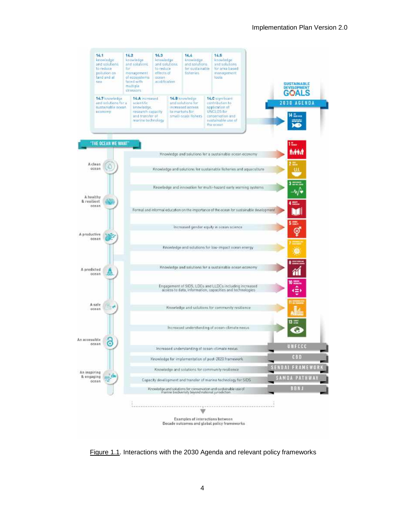

<span id="page-11-0"></span>Figure 1.1. Interactions with the 2030 Agenda and relevant policy frameworks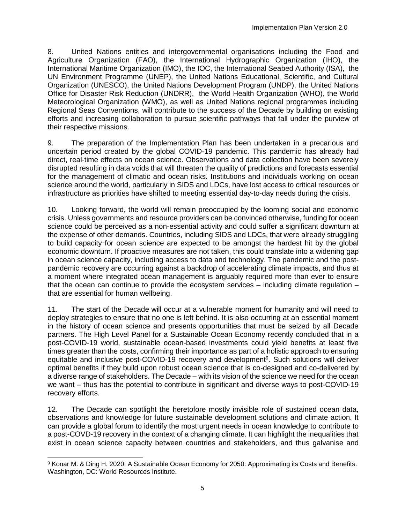8. United Nations entities and intergovernmental organisations including the Food and Agriculture Organization (FAO), the International Hydrographic Organization (IHO), the International Maritime Organization (IMO), the IOC, the International Seabed Authority (ISA), the UN Environment Programme (UNEP), the United Nations Educational, Scientific, and Cultural Organization (UNESCO), the United Nations Development Program (UNDP), the United Nations Office for Disaster Risk Reduction (UNDRR), the World Health Organization (WHO), the World Meteorological Organization (WMO), as well as United Nations regional programmes including Regional Seas Conventions, will contribute to the success of the Decade by building on existing efforts and increasing collaboration to pursue scientific pathways that fall under the purview of their respective missions.

9. The preparation of the Implementation Plan has been undertaken in a precarious and uncertain period created by the global COVID-19 pandemic. This pandemic has already had direct, real-time effects on ocean science. Observations and data collection have been severely disrupted resulting in data voids that will threaten the quality of predictions and forecasts essential for the management of climatic and ocean risks. Institutions and individuals working on ocean science around the world, particularly in SIDS and LDCs, have lost access to critical resources or infrastructure as priorities have shifted to meeting essential day-to-day needs during the crisis.

10. Looking forward, the world will remain preoccupied by the looming social and economic crisis. Unless governments and resource providers can be convinced otherwise, funding for ocean science could be perceived as a non-essential activity and could suffer a significant downturn at the expense of other demands. Countries, including SIDS and LDCs, that were already struggling to build capacity for ocean science are expected to be amongst the hardest hit by the global economic downturn. If proactive measures are not taken, this could translate into a widening gap in ocean science capacity, including access to data and technology. The pandemic and the postpandemic recovery are occurring against a backdrop of accelerating climate impacts, and thus at a moment where integrated ocean management is arguably required more than ever to ensure that the ocean can continue to provide the ecosystem services – including climate regulation – that are essential for human wellbeing.

11. The start of the Decade will occur at a vulnerable moment for humanity and will need to deploy strategies to ensure that no one is left behind. It is also occurring at an essential moment in the history of ocean science and presents opportunities that must be seized by all Decade partners. The High Level Panel for a Sustainable Ocean Economy recently concluded that in a post-COVID-19 world, sustainable ocean-based investments could yield benefits at least five times greater than the costs, confirming their importance as part of a holistic approach to ensuring equitable and inclusive post-COVID-19 recovery and development<sup>9</sup>. Such solutions will deliver optimal benefits if they build upon robust ocean science that is co-designed and co-delivered by a diverse range of stakeholders. The Decade – with its vision of the science we need for the ocean we want – thus has the potential to contribute in significant and diverse ways to post-COVID-19 recovery efforts.

12. The Decade can spotlight the heretofore mostly invisible role of sustained ocean data, observations and knowledge for future sustainable development solutions and climate action. It can provide a global forum to identify the most urgent needs in ocean knowledge to contribute to a post-COVD-19 recovery in the context of a changing climate. It can highlight the inequalities that exist in ocean science capacity between countries and stakeholders, and thus galvanise and

l <sup>9</sup> Konar M. & Ding H. 2020. A Sustainable Ocean Economy for 2050: Approximating its Costs and Benefits. Washington, DC: World Resources Institute.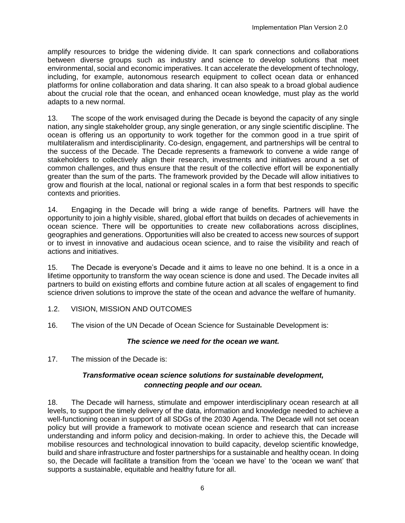amplify resources to bridge the widening divide. It can spark connections and collaborations between diverse groups such as industry and science to develop solutions that meet environmental, social and economic imperatives. It can accelerate the development of technology, including, for example, autonomous research equipment to collect ocean data or enhanced platforms for online collaboration and data sharing. It can also speak to a broad global audience about the crucial role that the ocean, and enhanced ocean knowledge, must play as the world adapts to a new normal.

13. The scope of the work envisaged during the Decade is beyond the capacity of any single nation, any single stakeholder group, any single generation, or any single scientific discipline. The ocean is offering us an opportunity to work together for the common good in a true spirit of multilateralism and interdisciplinarity. Co-design, engagement, and partnerships will be central to the success of the Decade. The Decade represents a framework to convene a wide range of stakeholders to collectively align their research, investments and initiatives around a set of common challenges, and thus ensure that the result of the collective effort will be exponentially greater than the sum of the parts. The framework provided by the Decade will allow initiatives to grow and flourish at the local, national or regional scales in a form that best responds to specific contexts and priorities.

14. Engaging in the Decade will bring a wide range of benefits. Partners will have the opportunity to join a highly visible, shared, global effort that builds on decades of achievements in ocean science. There will be opportunities to create new collaborations across disciplines, geographies and generations. Opportunities will also be created to access new sources of support or to invest in innovative and audacious ocean science, and to raise the visibility and reach of actions and initiatives.

15. The Decade is everyone's Decade and it aims to leave no one behind. It is a once in a lifetime opportunity to transform the way ocean science is done and used. The Decade invites all partners to build on existing efforts and combine future action at all scales of engagement to find science driven solutions to improve the state of the ocean and advance the welfare of humanity.

- <span id="page-13-0"></span>1.2. VISION, MISSION AND OUTCOMES
- 16. The vision of the UN Decade of Ocean Science for Sustainable Development is:

## *The science we need for the ocean we want.*

17. The mission of the Decade is:

## *Transformative ocean science solutions for sustainable development, connecting people and our ocean.*

18. The Decade will harness, stimulate and empower interdisciplinary ocean research at all levels, to support the timely delivery of the data, information and knowledge needed to achieve a well-functioning ocean in support of all SDGs of the 2030 Agenda. The Decade will not set ocean policy but will provide a framework to motivate ocean science and research that can increase understanding and inform policy and decision-making. In order to achieve this, the Decade will mobilise resources and technological innovation to build capacity, develop scientific knowledge, build and share infrastructure and foster partnerships for a sustainable and healthy ocean. In doing so, the Decade will facilitate a transition from the 'ocean we have' to the 'ocean we want' that supports a sustainable, equitable and healthy future for all.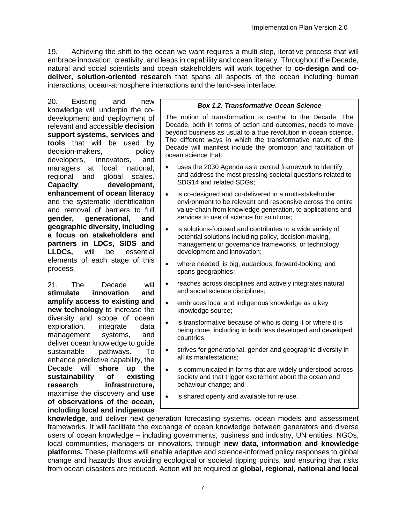19. Achieving the shift to the ocean we want requires a multi-step, iterative process that will embrace innovation, creativity, and leaps in capability and ocean literacy. Throughout the Decade, natural and social scientists and ocean stakeholders will work together to **co-design and codeliver, solution-oriented research** that spans all aspects of the ocean including human interactions, ocean-atmosphere interactions and the land-sea interface.

20. Existing and new knowledge will underpin the codevelopment and deployment of relevant and accessible **decision support systems, services and tools** that will be used by decision-makers, policy developers, innovators, and managers at local, national, regional and global scales. **Capacity development, enhancement of ocean literacy** and the systematic identification and removal of barriers to full **gender, generational, and geographic diversity, including a focus on stakeholders and partners in LDCs, SIDS and LLDCs,** will be essential elements of each stage of this process.

21. The Decade will **stimulate innovation and amplify access to existing and new technology** to increase the diversity and scope of ocean exploration, integrate data management systems, and deliver ocean knowledge to guide sustainable pathways. To enhance predictive capability, the Decade will **shore up the sustainability of existing research infrastructure,**  maximise the discovery and **use of observations of the ocean, including local and indigenous** 

#### *Box 1.2. Transformative Ocean Science*

The notion of transformation is central to the Decade. The Decade, both in terms of action and outcomes, needs to move beyond business as usual to a true revolution in ocean science. The different ways in which the transformative nature of the Decade will manifest include the promotion and facilitation of ocean science that:

- uses the 2030 Agenda as a central framework to identify and address the most pressing societal questions related to SDG14 and related SDGs;
- is co-designed and co-delivered in a multi-stakeholder environment to be relevant and responsive across the entire value-chain from knowledge generation, to applications and services to use of science for solutions;
- is solutions-focused and contributes to a wide variety of potential solutions including policy, decision-making, management or governance frameworks, or technology development and innovation;
- where needed, is big, audacious, forward-looking, and spans geographies;
- reaches across disciplines and actively integrates natural and social science disciplines;
- embraces local and indigenous knowledge as a key knowledge source;
- is transformative because of who is doing it or where it is being done, including in both less developed and developed countries;
- strives for generational, gender and geographic diversity in all its manifestations;
- is communicated in forms that are widely understood across society and that trigger excitement about the ocean and behaviour change; and
- is shared openly and available for re-use.

**knowledge**, and deliver next generation forecasting systems, ocean models and assessment frameworks. It will facilitate the exchange of ocean knowledge between generators and diverse users of ocean knowledge – including governments, business and industry, UN entities, NGOs, local communities, managers or innovators, through **new data, information and knowledge platforms.** These platforms will enable adaptive and science-informed policy responses to global change and hazards thus avoiding ecological or societal tipping points, and ensuring that risks from ocean disasters are reduced. Action will be required at **global, regional, national and local**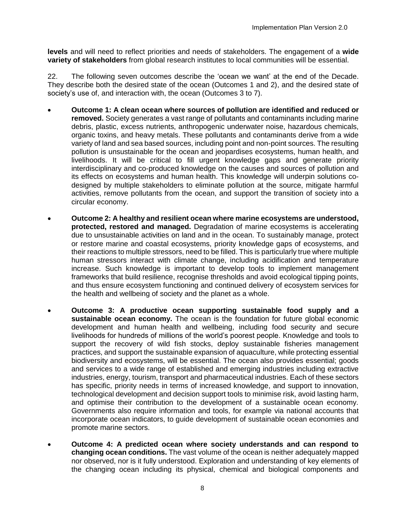**levels** and will need to reflect priorities and needs of stakeholders. The engagement of a **wide variety of stakeholders** from global research institutes to local communities will be essential.

22. The following seven outcomes describe the 'ocean we want' at the end of the Decade. They describe both the desired state of the ocean (Outcomes 1 and 2), and the desired state of society's use of, and interaction with, the ocean (Outcomes 3 to 7).

- **Outcome 1: A clean ocean where sources of pollution are identified and reduced or removed.** Society generates a vast range of pollutants and contaminants including marine debris, plastic, excess nutrients, anthropogenic underwater noise, hazardous chemicals, organic toxins, and heavy metals. These pollutants and contaminants derive from a wide variety of land and sea based sources, including point and non-point sources. The resulting pollution is unsustainable for the ocean and jeopardises ecosystems, human health, and livelihoods. It will be critical to fill urgent knowledge gaps and generate priority interdisciplinary and co-produced knowledge on the causes and sources of pollution and its effects on ecosystems and human health. This knowledge will underpin solutions codesigned by multiple stakeholders to eliminate pollution at the source, mitigate harmful activities, remove pollutants from the ocean, and support the transition of society into a circular economy.
- **Outcome 2: A healthy and resilient ocean where marine ecosystems are understood, protected, restored and managed.** Degradation of marine ecosystems is accelerating due to unsustainable activities on land and in the ocean. To sustainably manage, protect or restore marine and coastal ecosystems, priority knowledge gaps of ecosystems, and their reactions to multiple stressors, need to be filled. This is particularly true where multiple human stressors interact with climate change, including acidification and temperature increase. Such knowledge is important to develop tools to implement management frameworks that build resilience, recognise thresholds and avoid ecological tipping points, and thus ensure ecosystem functioning and continued delivery of ecosystem services for the health and wellbeing of society and the planet as a whole.
- **Outcome 3: A productive ocean supporting sustainable food supply and a sustainable ocean economy.** The ocean is the foundation for future global economic development and human health and wellbeing, including food security and secure livelihoods for hundreds of millions of the world's poorest people. Knowledge and tools to support the recovery of wild fish stocks, deploy sustainable fisheries management practices, and support the sustainable expansion of aquaculture, while protecting essential biodiversity and ecosystems, will be essential. The ocean also provides essential; goods and services to a wide range of established and emerging industries including extractive industries, energy, tourism, transport and pharmaceutical industries. Each of these sectors has specific, priority needs in terms of increased knowledge, and support to innovation, technological development and decision support tools to minimise risk, avoid lasting harm, and optimise their contribution to the development of a sustainable ocean economy. Governments also require information and tools, for example via national accounts that incorporate ocean indicators, to guide development of sustainable ocean economies and promote marine sectors.
- **Outcome 4: A predicted ocean where society understands and can respond to changing ocean conditions.** The vast volume of the ocean is neither adequately mapped nor observed, nor is it fully understood. Exploration and understanding of key elements of the changing ocean including its physical, chemical and biological components and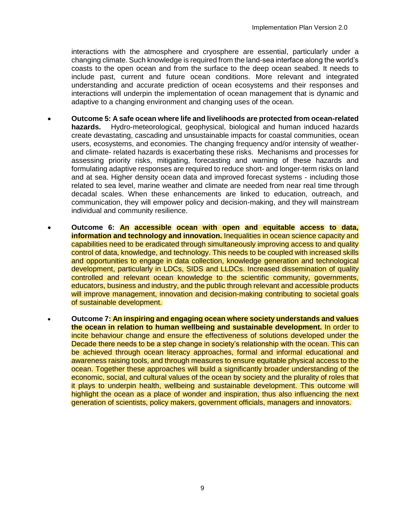interactions with the atmosphere and cryosphere are essential, particularly under a changing climate. Such knowledge is required from the land-sea interface along the world's coasts to the open ocean and from the surface to the deep ocean seabed. It needs to include past, current and future ocean conditions. More relevant and integrated understanding and accurate prediction of ocean ecosystems and their responses and interactions will underpin the implementation of ocean management that is dynamic and adaptive to a changing environment and changing uses of the ocean.

- **Outcome 5: A safe ocean where life and livelihoods are protected from ocean-related hazards.** Hydro-meteorological, geophysical, biological and human induced hazards create devastating, cascading and unsustainable impacts for coastal communities, ocean users, ecosystems, and economies. The changing frequency and/or intensity of weatherand climate- related hazards is exacerbating these risks. Mechanisms and processes for assessing priority risks, mitigating, forecasting and warning of these hazards and formulating adaptive responses are required to reduce short- and longer-term risks on land and at sea. Higher density ocean data and improved forecast systems - including those related to sea level, marine weather and climate are needed from near real time through decadal scales. When these enhancements are linked to education, outreach, and communication, they will empower policy and decision-making, and they will mainstream individual and community resilience.
- **Outcome 6: An accessible ocean with open and equitable access to data, information and technology and innovation.** Inequalities in ocean science capacity and capabilities need to be eradicated through simultaneously improving access to and quality control of data, knowledge, and technology. This needs to be coupled with increased skills and opportunities to engage in data collection, knowledge generation and technological development, particularly in LDCs, SIDS and LLDCs. Increased dissemination of quality controlled and relevant ocean knowledge to the scientific community, governments, educators, business and industry, and the public through relevant and accessible products will improve management, innovation and decision-making contributing to societal goals of sustainable development.
- **Outcome 7: An inspiring and engaging ocean where society understands and values the ocean in relation to human wellbeing and sustainable development.** In order to incite behaviour change and ensure the effectiveness of solutions developed under the Decade there needs to be a step change in society's relationship with the ocean. This can be achieved through ocean literacy approaches, formal and informal educational and awareness raising tools, and through measures to ensure equitable physical access to the ocean. Together these approaches will build a significantly broader understanding of the economic, social, and cultural values of the ocean by society and the plurality of roles that it plays to underpin health, wellbeing and sustainable development. This outcome will highlight the ocean as a place of wonder and inspiration, thus also influencing the next generation of scientists, policy makers, government officials, managers and innovators.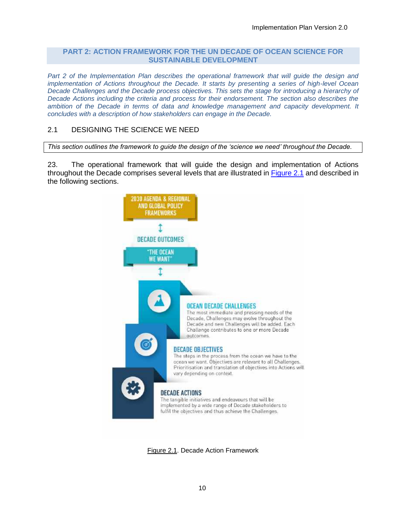#### <span id="page-17-0"></span>**PART 2: ACTION FRAMEWORK FOR THE UN DECADE OF OCEAN SCIENCE FOR SUSTAINABLE DEVELOPMENT**

Part 2 of the Implementation Plan describes the operational framework that will guide the design and *implementation of Actions throughout the Decade. It starts by presenting a series of high-level Ocean*  Decade Challenges and the Decade process objectives. This sets the stage for introducing a hierarchy of *Decade Actions including the criteria and process for their endorsement. The section also describes the ambition of the Decade in terms of data and knowledge management and capacity development. It concludes with a description of how stakeholders can engage in the Decade.*

## <span id="page-17-1"></span>2.1 DESIGNING THE SCIENCE WE NEED

*This section outlines the framework to guide the design of the 'science we need' throughout the Decade.* 

23. The operational framework that will guide the design and implementation of Actions throughout the Decade comprises several levels that are illustrated in [Figure 2.1](#page-17-2) and described in the following sections.



<span id="page-17-2"></span>Figure 2.1. Decade Action Framework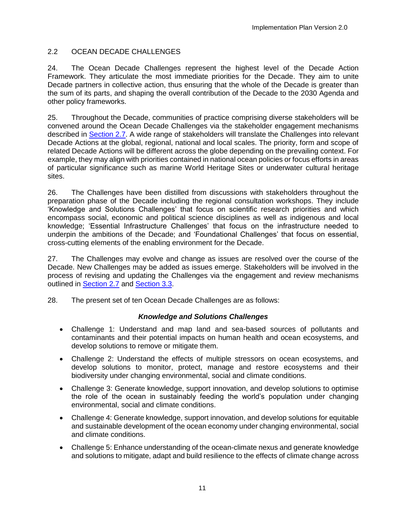## <span id="page-18-0"></span>2.2 OCEAN DECADE CHALLENGES

24. The Ocean Decade Challenges represent the highest level of the Decade Action Framework. They articulate the most immediate priorities for the Decade. They aim to unite Decade partners in collective action, thus ensuring that the whole of the Decade is greater than the sum of its parts, and shaping the overall contribution of the Decade to the 2030 Agenda and other policy frameworks.

25. Throughout the Decade, communities of practice comprising diverse stakeholders will be convened around the Ocean Decade Challenges via the stakeholder engagement mechanisms described in [Section 2.7.](#page-31-0) A wide range of stakeholders will translate the Challenges into relevant Decade Actions at the global, regional, national and local scales. The priority, form and scope of related Decade Actions will be different across the globe depending on the prevailing context. For example, they may align with priorities contained in national ocean policies or focus efforts in areas of particular significance such as marine World Heritage Sites or underwater cultural heritage sites.

26. The Challenges have been distilled from discussions with stakeholders throughout the preparation phase of the Decade including the regional consultation workshops. They include 'Knowledge and Solutions Challenges' that focus on scientific research priorities and which encompass social, economic and political science disciplines as well as indigenous and local knowledge; 'Essential Infrastructure Challenges' that focus on the infrastructure needed to underpin the ambitions of the Decade; and 'Foundational Challenges' that focus on essential, cross-cutting elements of the enabling environment for the Decade.

27. The Challenges may evolve and change as issues are resolved over the course of the Decade. New Challenges may be added as issues emerge. Stakeholders will be involved in the process of revising and updating the Challenges via the engagement and review mechanisms outlined in [Section](#page-31-0) 2.7 and [Section 3.3.](#page-47-0)

28. The present set of ten Ocean Decade Challenges are as follows:

## *Knowledge and Solutions Challenges*

- Challenge 1: Understand and map land and sea-based sources of pollutants and contaminants and their potential impacts on human health and ocean ecosystems, and develop solutions to remove or mitigate them.
- Challenge 2: Understand the effects of multiple stressors on ocean ecosystems, and develop solutions to monitor, protect, manage and restore ecosystems and their biodiversity under changing environmental, social and climate conditions.
- Challenge 3: Generate knowledge, support innovation, and develop solutions to optimise the role of the ocean in sustainably feeding the world's population under changing environmental, social and climate conditions.
- Challenge 4: Generate knowledge, support innovation, and develop solutions for equitable and sustainable development of the ocean economy under changing environmental, social and climate conditions.
- Challenge 5: Enhance understanding of the ocean-climate nexus and generate knowledge and solutions to mitigate, adapt and build resilience to the effects of climate change across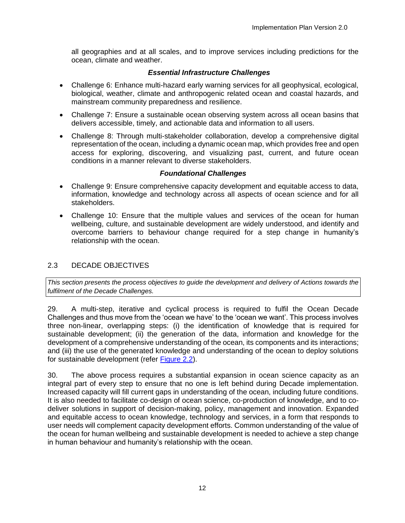all geographies and at all scales, and to improve services including predictions for the ocean, climate and weather.

# *Essential Infrastructure Challenges*

- Challenge 6: Enhance multi-hazard early warning services for all geophysical, ecological, biological, weather, climate and anthropogenic related ocean and coastal hazards, and mainstream community preparedness and resilience.
- Challenge 7: Ensure a sustainable ocean observing system across all ocean basins that delivers accessible, timely, and actionable data and information to all users.
- Challenge 8: Through multi-stakeholder collaboration, develop a comprehensive digital representation of the ocean, including a dynamic ocean map, which provides free and open access for exploring, discovering, and visualizing past, current, and future ocean conditions in a manner relevant to diverse stakeholders.

## *Foundational Challenges*

- Challenge 9: Ensure comprehensive capacity development and equitable access to data, information, knowledge and technology across all aspects of ocean science and for all stakeholders.
- Challenge 10: Ensure that the multiple values and services of the ocean for human wellbeing, culture, and sustainable development are widely understood, and identify and overcome barriers to behaviour change required for a step change in humanity's relationship with the ocean.

# <span id="page-19-0"></span>2.3 DECADE OBJECTIVES

*This section presents the process objectives to guide the development and delivery of Actions towards the fulfilment of the Decade Challenges.*

29. A multi-step, iterative and cyclical process is required to fulfil the Ocean Decade Challenges and thus move from the 'ocean we have' to the 'ocean we want'. This process involves three non-linear, overlapping steps: (i) the identification of knowledge that is required for sustainable development; (ii) the generation of the data, information and knowledge for the development of a comprehensive understanding of the ocean, its components and its interactions; and (iii) the use of the generated knowledge and understanding of the ocean to deploy solutions for sustainable development (refer [Figure 2.2\)](#page-20-0).

30. The above process requires a substantial expansion in ocean science capacity as an integral part of every step to ensure that no one is left behind during Decade implementation. Increased capacity will fill current gaps in understanding of the ocean, including future conditions. It is also needed to facilitate co-design of ocean science, co-production of knowledge, and to codeliver solutions in support of decision-making, policy, management and innovation. Expanded and equitable access to ocean knowledge, technology and services, in a form that responds to user needs will complement capacity development efforts. Common understanding of the value of the ocean for human wellbeing and sustainable development is needed to achieve a step change in human behaviour and humanity's relationship with the ocean.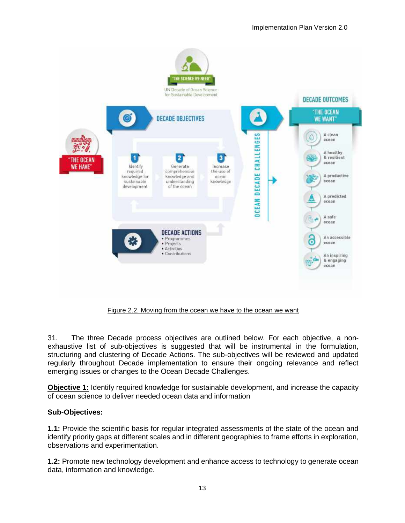

Figure 2.2. Moving from the ocean we have to the ocean we want

<span id="page-20-0"></span>31. The three Decade process objectives are outlined below. For each objective, a nonexhaustive list of sub-objectives is suggested that will be instrumental in the formulation, structuring and clustering of Decade Actions. The sub-objectives will be reviewed and updated regularly throughout Decade implementation to ensure their ongoing relevance and reflect emerging issues or changes to the Ocean Decade Challenges.

**Objective 1:** Identify required knowledge for sustainable development, and increase the capacity of ocean science to deliver needed ocean data and information

## **Sub-Objectives:**

**1.1:** Provide the scientific basis for regular integrated assessments of the state of the ocean and identify priority gaps at different scales and in different geographies to frame efforts in exploration, observations and experimentation.

**1.2:** Promote new technology development and enhance access to technology to generate ocean data, information and knowledge.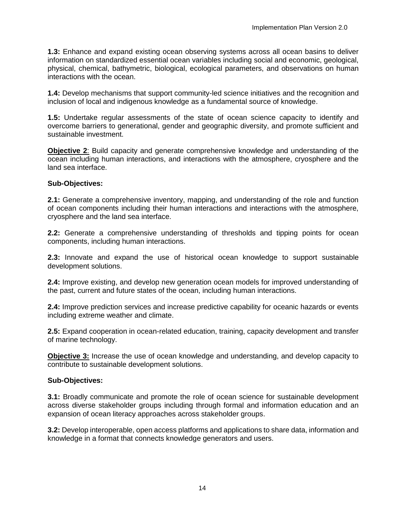**1.3:** Enhance and expand existing ocean observing systems across all ocean basins to deliver information on standardized essential ocean variables including social and economic, geological, physical, chemical, bathymetric, biological, ecological parameters, and observations on human interactions with the ocean.

**1.4:** Develop mechanisms that support community-led science initiatives and the recognition and inclusion of local and indigenous knowledge as a fundamental source of knowledge.

**1.5:** Undertake regular assessments of the state of ocean science capacity to identify and overcome barriers to generational, gender and geographic diversity, and promote sufficient and sustainable investment.

**Objective 2**: Build capacity and generate comprehensive knowledge and understanding of the ocean including human interactions, and interactions with the atmosphere, cryosphere and the land sea interface.

## **Sub-Objectives:**

**2.1:** Generate a comprehensive inventory, mapping, and understanding of the role and function of ocean components including their human interactions and interactions with the atmosphere, cryosphere and the land sea interface.

**2.2:** Generate a comprehensive understanding of thresholds and tipping points for ocean components, including human interactions.

**2.3:** Innovate and expand the use of historical ocean knowledge to support sustainable development solutions.

**2.4:** Improve existing, and develop new generation ocean models for improved understanding of the past, current and future states of the ocean, including human interactions.

**2.4:** Improve prediction services and increase predictive capability for oceanic hazards or events including extreme weather and climate.

**2.5:** Expand cooperation in ocean-related education, training, capacity development and transfer of marine technology.

**Objective 3:** Increase the use of ocean knowledge and understanding, and develop capacity to contribute to sustainable development solutions.

#### **Sub-Objectives:**

**3.1:** Broadly communicate and promote the role of ocean science for sustainable development across diverse stakeholder groups including through formal and information education and an expansion of ocean literacy approaches across stakeholder groups.

**3.2:** Develop interoperable, open access platforms and applications to share data, information and knowledge in a format that connects knowledge generators and users.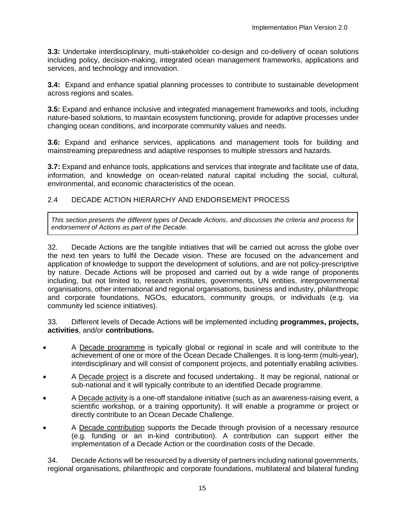**3.3:** Undertake interdisciplinary, multi-stakeholder co-design and co-delivery of ocean solutions including policy, decision-making, integrated ocean management frameworks, applications and services, and technology and innovation.

**3.4:** Expand and enhance spatial planning processes to contribute to sustainable development across regions and scales.

**3.5:** Expand and enhance inclusive and integrated management frameworks and tools, including nature-based solutions, to maintain ecosystem functioning, provide for adaptive processes under changing ocean conditions, and incorporate community values and needs.

**3.6:** Expand and enhance services, applications and management tools for building and mainstreaming preparedness and adaptive responses to multiple stressors and hazards.

**3.7:** Expand and enhance tools, applications and services that integrate and facilitate use of data, information, and knowledge on ocean-related natural capital including the social, cultural, environmental, and economic characteristics of the ocean.

## <span id="page-22-0"></span>2.4 DECADE ACTION HIERARCHY AND ENDORSEMENT PROCESS

*This section presents the different types of Decade Actions, and discusses the criteria and process for endorsement of Actions as part of the Decade.* 

32. Decade Actions are the tangible initiatives that will be carried out across the globe over the next ten years to fulfil the Decade vision. These are focused on the advancement and application of knowledge to support the development of solutions, and are not policy-prescriptive by nature. Decade Actions will be proposed and carried out by a wide range of proponents including, but not limited to, research institutes, governments, UN entities, intergovernmental organisations, other international and regional organisations, business and industry, philanthropic and corporate foundations, NGOs, educators, community groups, or individuals (e.g. via community led science initiatives).

33. Different levels of Decade Actions will be implemented including **programmes, projects, activities**, and/or **contributions.**

- A Decade programme is typically global or regional in scale and will contribute to the achievement of one or more of the Ocean Decade Challenges. It is long-term (multi-year), interdisciplinary and will consist of component projects, and potentially enabling activities.
- A Decade project is a discrete and focused undertaking.. It may be regional, national or sub-national and it will typically contribute to an identified Decade programme.
- A Decade activity is a one-off standalone initiative (such as an awareness-raising event, a scientific workshop, or a training opportunity). It will enable a programme or project or directly contribute to an Ocean Decade Challenge.
- A Decade contribution supports the Decade through provision of a necessary resource (e.g. funding or an in-kind contribution). A contribution can support either the implementation of a Decade Action or the coordination costs of the Decade.

34. Decade Actions will be resourced by a diversity of partners including national governments, regional organisations, philanthropic and corporate foundations, multilateral and bilateral funding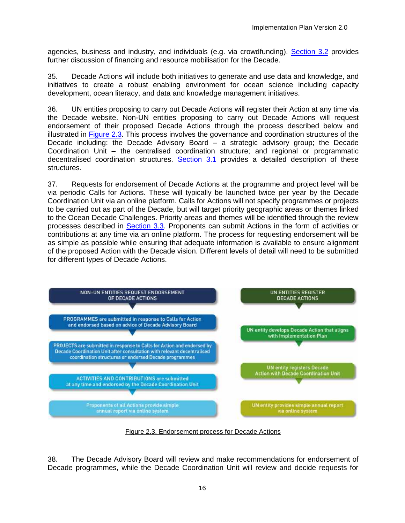agencies, business and industry, and individuals (e.g. via crowdfunding). [Section 3.2](#page-43-0) provides further discussion of financing and resource mobilisation for the Decade.

35. Decade Actions will include both initiatives to generate and use data and knowledge, and initiatives to create a robust enabling environment for ocean science including capacity development, ocean literacy, and data and knowledge management initiatives.

36. UN entities proposing to carry out Decade Actions will register their Action at any time via the Decade website. Non-UN entities proposing to carry out Decade Actions will request endorsement of their proposed Decade Actions through the process described below and illustrated in [Figure 2.3.](#page-23-0) This process involves the governance and coordination structures of the Decade including: the Decade Advisory Board – a strategic advisory group; the Decade Coordination Unit – the centralised coordination structure; and regional or programmatic decentralised coordination structures. [Section 3.1](#page-37-1) provides a detailed description of these structures.

37. Requests for endorsement of Decade Actions at the programme and project level will be via periodic Calls for Actions. These will typically be launched twice per year by the Decade Coordination Unit via an online platform. Calls for Actions will not specify programmes or projects to be carried out as part of the Decade, but will target priority geographic areas or themes linked to the Ocean Decade Challenges. Priority areas and themes will be identified through the review processes described in [Section 3.3.](#page-47-0) Proponents can submit Actions in the form of activities or contributions at any time via an online platform. The process for requesting endorsement will be as simple as possible while ensuring that adequate information is available to ensure alignment of the proposed Action with the Decade vision. Different levels of detail will need to be submitted for different types of Decade Actions.



Figure 2.3. Endorsement process for Decade Actions

<span id="page-23-0"></span>38. The Decade Advisory Board will review and make recommendations for endorsement of Decade programmes, while the Decade Coordination Unit will review and decide requests for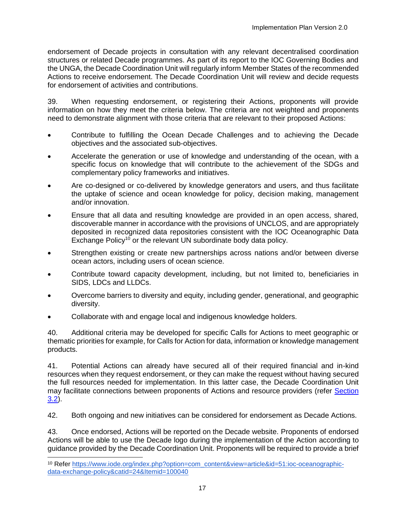endorsement of Decade projects in consultation with any relevant decentralised coordination structures or related Decade programmes. As part of its report to the IOC Governing Bodies and the UNGA, the Decade Coordination Unit will regularly inform Member States of the recommended Actions to receive endorsement. The Decade Coordination Unit will review and decide requests for endorsement of activities and contributions.

39. When requesting endorsement, or registering their Actions, proponents will provide information on how they meet the criteria below. The criteria are not weighted and proponents need to demonstrate alignment with those criteria that are relevant to their proposed Actions:

- Contribute to fulfilling the Ocean Decade Challenges and to achieving the Decade objectives and the associated sub-objectives.
- Accelerate the generation or use of knowledge and understanding of the ocean, with a specific focus on knowledge that will contribute to the achievement of the SDGs and complementary policy frameworks and initiatives.
- Are co-designed or co-delivered by knowledge generators and users, and thus facilitate the uptake of science and ocean knowledge for policy, decision making, management and/or innovation.
- Ensure that all data and resulting knowledge are provided in an open access, shared, discoverable manner in accordance with the provisions of UNCLOS, and are appropriately deposited in recognized data repositories consistent with the IOC Oceanographic Data Exchange Policy<sup>10</sup> or the relevant UN subordinate body data policy.
- Strengthen existing or create new partnerships across nations and/or between diverse ocean actors, including users of ocean science.
- Contribute toward capacity development, including, but not limited to, beneficiaries in SIDS, LDCs and LLDCs.
- Overcome barriers to diversity and equity, including gender, generational, and geographic diversity.
- Collaborate with and engage local and indigenous knowledge holders.

40. Additional criteria may be developed for specific Calls for Actions to meet geographic or thematic priorities for example, for Calls for Action for data, information or knowledge management products.

41. Potential Actions can already have secured all of their required financial and in-kind resources when they request endorsement, or they can make the request without having secured the full resources needed for implementation. In this latter case, the Decade Coordination Unit may facilitate connections between proponents of Actions and resource providers (refer [Section](#page-43-0)  [3.2\)](#page-43-0).

42. Both ongoing and new initiatives can be considered for endorsement as Decade Actions.

43. Once endorsed, Actions will be reported on the Decade website. Proponents of endorsed Actions will be able to use the Decade logo during the implementation of the Action according to guidance provided by the Decade Coordination Unit. Proponents will be required to provide a brief l

<sup>10</sup> Refer [https://www.iode.org/index.php?option=com\\_content&view=article&id=51:ioc-oceanographic](https://www.iode.org/index.php?option=com_content&view=article&id=51:ioc-oceanographic-data-exchange-policy&catid=24&Itemid=100040)[data-exchange-policy&catid=24&Itemid=100040](https://www.iode.org/index.php?option=com_content&view=article&id=51:ioc-oceanographic-data-exchange-policy&catid=24&Itemid=100040)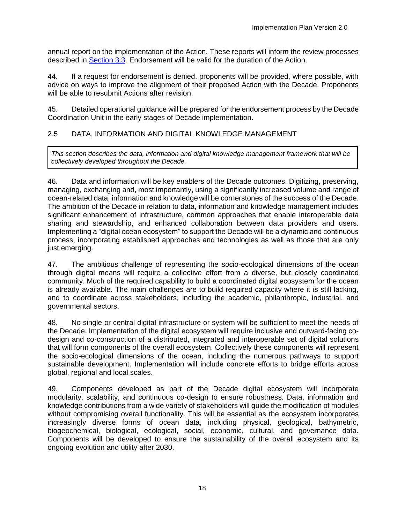annual report on the implementation of the Action. These reports will inform the review processes described in [Section 3.3.](#page-47-0) Endorsement will be valid for the duration of the Action.

44. If a request for endorsement is denied, proponents will be provided, where possible, with advice on ways to improve the alignment of their proposed Action with the Decade. Proponents will be able to resubmit Actions after revision.

45. Detailed operational guidance will be prepared for the endorsement process by the Decade Coordination Unit in the early stages of Decade implementation.

# <span id="page-25-0"></span>2.5 DATA, INFORMATION AND DIGITAL KNOWLEDGE MANAGEMENT

*This section describes the data, information and digital knowledge management framework that will be collectively developed throughout the Decade.* 

46. Data and information will be key enablers of the Decade outcomes. Digitizing, preserving, managing, exchanging and, most importantly, using a significantly increased volume and range of ocean-related data, information and knowledge will be cornerstones of the success of the Decade. The ambition of the Decade in relation to data, information and knowledge management includes significant enhancement of infrastructure, common approaches that enable interoperable data sharing and stewardship, and enhanced collaboration between data providers and users. Implementing a "digital ocean ecosystem" to support the Decade will be a dynamic and continuous process, incorporating established approaches and technologies as well as those that are only just emerging.

47. The ambitious challenge of representing the socio-ecological dimensions of the ocean through digital means will require a collective effort from a diverse, but closely coordinated community. Much of the required capability to build a coordinated digital ecosystem for the ocean is already available. The main challenges are to build required capacity where it is still lacking, and to coordinate across stakeholders, including the academic, philanthropic, industrial, and governmental sectors.

48. No single or central digital infrastructure or system will be sufficient to meet the needs of the Decade. Implementation of the digital ecosystem will require inclusive and outward-facing codesign and co-construction of a distributed, integrated and interoperable set of digital solutions that will form components of the overall ecosystem. Collectively these components will represent the socio-ecological dimensions of the ocean, including the numerous pathways to support sustainable development. Implementation will include concrete efforts to bridge efforts across global, regional and local scales.

49. Components developed as part of the Decade digital ecosystem will incorporate modularity, scalability, and continuous co-design to ensure robustness. Data, information and knowledge contributions from a wide variety of stakeholders will guide the modification of modules without compromising overall functionality. This will be essential as the ecosystem incorporates increasingly diverse forms of ocean data, including physical, geological, bathymetric, biogeochemical, biological, ecological, social, economic, cultural, and governance data. Components will be developed to ensure the sustainability of the overall ecosystem and its ongoing evolution and utility after 2030.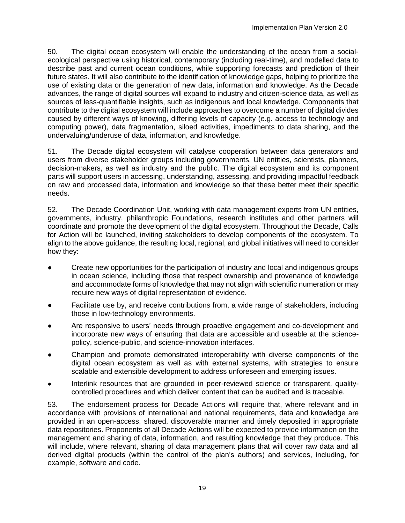50. The digital ocean ecosystem will enable the understanding of the ocean from a socialecological perspective using historical, contemporary (including real-time), and modelled data to describe past and current ocean conditions, while supporting forecasts and prediction of their future states. It will also contribute to the identification of knowledge gaps, helping to prioritize the use of existing data or the generation of new data, information and knowledge. As the Decade advances, the range of digital sources will expand to industry and citizen-science data, as well as sources of less-quantifiable insights, such as indigenous and local knowledge. Components that contribute to the digital ecosystem will include approaches to overcome a number of digital divides caused by different ways of knowing, differing levels of capacity (e.g. access to technology and computing power), data fragmentation, siloed activities, impediments to data sharing, and the undervaluing/underuse of data, information, and knowledge.

51. The Decade digital ecosystem will catalyse cooperation between data generators and users from diverse stakeholder groups including governments, UN entities, scientists, planners, decision-makers, as well as industry and the public. The digital ecosystem and its component parts will support users in accessing, understanding, assessing, and providing impactful feedback on raw and processed data, information and knowledge so that these better meet their specific needs.

52. The Decade Coordination Unit, working with data management experts from UN entities, governments, industry, philanthropic Foundations, research institutes and other partners will coordinate and promote the development of the digital ecosystem. Throughout the Decade, Calls for Action will be launched, inviting stakeholders to develop components of the ecosystem. To align to the above guidance, the resulting local, regional, and global initiatives will need to consider how they:

- Create new opportunities for the participation of industry and local and indigenous groups in ocean science, including those that respect ownership and provenance of knowledge and accommodate forms of knowledge that may not align with scientific numeration or may require new ways of digital representation of evidence.
- Facilitate use by, and receive contributions from, a wide range of stakeholders, including those in low-technology environments.
- Are responsive to users' needs through proactive engagement and co-development and incorporate new ways of ensuring that data are accessible and useable at the sciencepolicy, science-public, and science-innovation interfaces.
- Champion and promote demonstrated interoperability with diverse components of the digital ocean ecosystem as well as with external systems, with strategies to ensure scalable and extensible development to address unforeseen and emerging issues.
- Interlink resources that are grounded in peer-reviewed science or transparent, qualitycontrolled procedures and which deliver content that can be audited and is traceable.

53. The endorsement process for Decade Actions will require that, where relevant and in accordance with provisions of international and national requirements, data and knowledge are provided in an open-access, shared, discoverable manner and timely deposited in appropriate data repositories. Proponents of all Decade Actions will be expected to provide information on the management and sharing of data, information, and resulting knowledge that they produce. This will include, where relevant, sharing of data management plans that will cover raw data and all derived digital products (within the control of the plan's authors) and services, including, for example, software and code.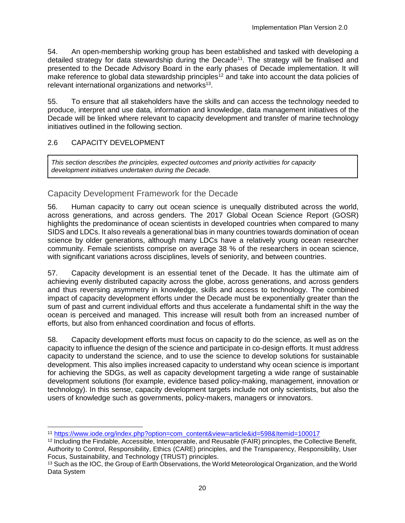54. An open-membership working group has been established and tasked with developing a detailed strategy for data stewardship during the Decade<sup>11</sup>. The strategy will be finalised and presented to the Decade Advisory Board in the early phases of Decade implementation. It will make reference to global data stewardship principles<sup>12</sup> and take into account the data policies of relevant international organizations and networks<sup>13</sup>.

55. To ensure that all stakeholders have the skills and can access the technology needed to produce, interpret and use data, information and knowledge, data management initiatives of the Decade will be linked where relevant to capacity development and transfer of marine technology initiatives outlined in the following section.

# <span id="page-27-0"></span>2.6 CAPACITY DEVELOPMENT

l

*This section describes the principles, expected outcomes and priority activities for capacity development initiatives undertaken during the Decade.* 

# Capacity Development Framework for the Decade

56. Human capacity to carry out ocean science is unequally distributed across the world, across generations, and across genders. The 2017 Global Ocean Science Report (GOSR) highlights the predominance of ocean scientists in developed countries when compared to many SIDS and LDCs. It also reveals a generational bias in many countries towards domination of ocean science by older generations, although many LDCs have a relatively young ocean researcher community. Female scientists comprise on average 38 % of the researchers in ocean science, with significant variations across disciplines, levels of seniority, and between countries.

57. Capacity development is an essential tenet of the Decade. It has the ultimate aim of achieving evenly distributed capacity across the globe, across generations, and across genders and thus reversing asymmetry in knowledge, skills and access to technology. The combined impact of capacity development efforts under the Decade must be exponentially greater than the sum of past and current individual efforts and thus accelerate a fundamental shift in the way the ocean is perceived and managed. This increase will result both from an increased number of efforts, but also from enhanced coordination and focus of efforts.

58. Capacity development efforts must focus on capacity to do the science, as well as on the capacity to influence the design of the science and participate in co-design efforts. It must address capacity to understand the science, and to use the science to develop solutions for sustainable development. This also implies increased capacity to understand why ocean science is important for achieving the SDGs, as well as capacity development targeting a wide range of sustainable development solutions (for example, evidence based policy-making, management, innovation or technology). In this sense, capacity development targets include not only scientists, but also the users of knowledge such as governments, policy-makers, managers or innovators.

<sup>11</sup> [https://www.iode.org/index.php?option=com\\_content&view=article&id=598&Itemid=100017](https://www.iode.org/index.php?option=com_content&view=article&id=598&Itemid=100017)

<sup>12</sup> Including the Findable, Accessible, Interoperable, and Reusable (FAIR) principles, the Collective Benefit, Authority to Control, Responsibility, Ethics (CARE) principles, and the Transparency, Responsibility, User Focus, Sustainability, and Technology (TRUST) principles.

<sup>&</sup>lt;sup>13</sup> Such as the IOC, the Group of Earth Observations, the World Meteorological Organization, and the World Data System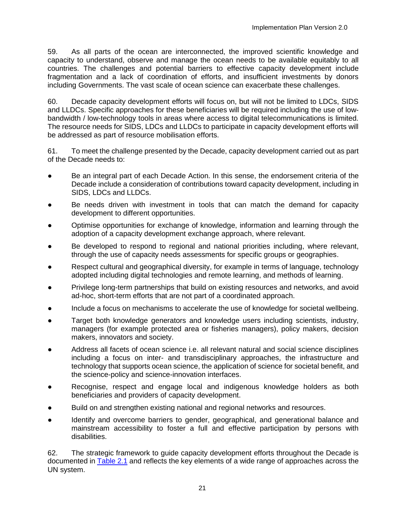59. As all parts of the ocean are interconnected, the improved scientific knowledge and capacity to understand, observe and manage the ocean needs to be available equitably to all countries. The challenges and potential barriers to effective capacity development include fragmentation and a lack of coordination of efforts, and insufficient investments by donors including Governments. The vast scale of ocean science can exacerbate these challenges.

60. Decade capacity development efforts will focus on, but will not be limited to LDCs, SIDS and LLDCs. Specific approaches for these beneficiaries will be required including the use of lowbandwidth / low-technology tools in areas where access to digital telecommunications is limited. The resource needs for SIDS, LDCs and LLDCs to participate in capacity development efforts will be addressed as part of resource mobilisation efforts.

61. To meet the challenge presented by the Decade, capacity development carried out as part of the Decade needs to:

- Be an integral part of each Decade Action. In this sense, the endorsement criteria of the Decade include a consideration of contributions toward capacity development, including in SIDS, LDCs and LLDCs.
- Be needs driven with investment in tools that can match the demand for capacity development to different opportunities.
- Optimise opportunities for exchange of knowledge, information and learning through the adoption of a capacity development exchange approach, where relevant.
- Be developed to respond to regional and national priorities including, where relevant, through the use of capacity needs assessments for specific groups or geographies.
- Respect cultural and geographical diversity, for example in terms of language, technology adopted including digital technologies and remote learning, and methods of learning.
- Privilege long-term partnerships that build on existing resources and networks, and avoid ad-hoc, short-term efforts that are not part of a coordinated approach.
- Include a focus on mechanisms to accelerate the use of knowledge for societal wellbeing.
- Target both knowledge generators and knowledge users including scientists, industry, managers (for example protected area or fisheries managers), policy makers, decision makers, innovators and society.
- Address all facets of ocean science i.e. all relevant natural and social science disciplines including a focus on inter- and transdisciplinary approaches, the infrastructure and technology that supports ocean science, the application of science for societal benefit, and the science-policy and science-innovation interfaces.
- Recognise, respect and engage local and indigenous knowledge holders as both beneficiaries and providers of capacity development.
- Build on and strengthen existing national and regional networks and resources.
- Identify and overcome barriers to gender, geographical, and generational balance and mainstream accessibility to foster a full and effective participation by persons with disabilities.

62. The strategic framework to guide capacity development efforts throughout the Decade is documented in [Table 2.1](#page-29-0) and reflects the key elements of a wide range of approaches across the UN system.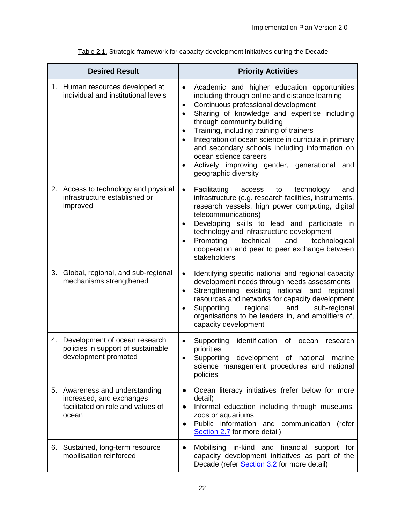<span id="page-29-0"></span>

|    | <b>Desired Result</b>                                                                                    | <b>Priority Activities</b>                                                                                                                                                                                                                                                                                                                                                                                                                                                            |
|----|----------------------------------------------------------------------------------------------------------|---------------------------------------------------------------------------------------------------------------------------------------------------------------------------------------------------------------------------------------------------------------------------------------------------------------------------------------------------------------------------------------------------------------------------------------------------------------------------------------|
|    | 1. Human resources developed at<br>individual and institutional levels                                   | Academic and higher education opportunities<br>including through online and distance learning<br>Continuous professional development<br>$\bullet$<br>Sharing of knowledge and expertise including<br>through community building<br>Training, including training of trainers<br>Integration of ocean science in curricula in primary<br>and secondary schools including information on<br>ocean science careers<br>Actively improving gender, generational and<br>geographic diversity |
|    | 2. Access to technology and physical<br>infrastructure established or<br>improved                        | Facilitating<br>technology<br>access<br>and<br>$\bullet$<br>to<br>infrastructure (e.g. research facilities, instruments,<br>research vessels, high power computing, digital<br>telecommunications)<br>Developing skills to lead and participate in<br>technology and infrastructure development<br>Promoting<br>technical<br>technological<br>and<br>cooperation and peer to peer exchange between<br>stakeholders                                                                    |
| 3. | Global, regional, and sub-regional<br>mechanisms strengthened                                            | Identifying specific national and regional capacity<br>development needs through needs assessments<br>Strengthening existing national and regional<br>$\bullet$<br>resources and networks for capacity development<br>Supporting<br>regional<br>and<br>sub-regional<br>organisations to be leaders in, and amplifiers of,<br>capacity development                                                                                                                                     |
|    | 4. Development of ocean research<br>policies in support of sustainable<br>development promoted           | Supporting<br>identification<br>of<br>ocean<br>research<br>priorities<br>Supporting<br>development of national<br>marine<br>science management procedures and national<br>policies                                                                                                                                                                                                                                                                                                    |
|    | 5. Awareness and understanding<br>increased, and exchanges<br>facilitated on role and values of<br>ocean | Ocean literacy initiatives (refer below for more<br>detail)<br>Informal education including through museums,<br>zoos or aquariums<br>Public information and communication (refer<br>$\bullet$<br>Section 2.7 for more detail)                                                                                                                                                                                                                                                         |
|    | 6. Sustained, long-term resource<br>mobilisation reinforced                                              | Mobilising in-kind and financial support for<br>$\bullet$<br>capacity development initiatives as part of the<br>Decade (refer Section 3.2 for more detail)                                                                                                                                                                                                                                                                                                                            |

Table 2.1. Strategic framework for capacity development initiatives during the Decade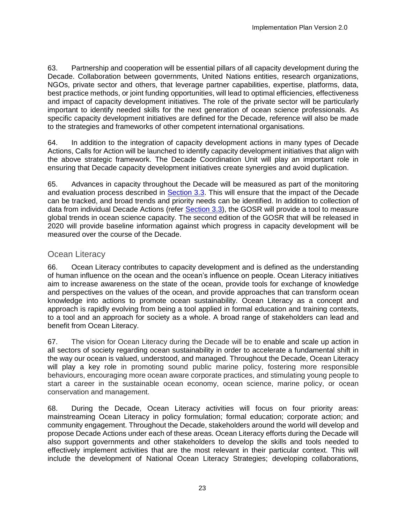63. Partnership and cooperation will be essential pillars of all capacity development during the Decade. Collaboration between governments, United Nations entities, research organizations, NGOs, private sector and others, that leverage partner capabilities, expertise, platforms, data, best practice methods, or joint funding opportunities, will lead to optimal efficiencies, effectiveness and impact of capacity development initiatives. The role of the private sector will be particularly important to identify needed skills for the next generation of ocean science professionals. As specific capacity development initiatives are defined for the Decade, reference will also be made to the strategies and frameworks of other competent international organisations.

64. In addition to the integration of capacity development actions in many types of Decade Actions, Calls for Action will be launched to identify capacity development initiatives that align with the above strategic framework. The Decade Coordination Unit will play an important role in ensuring that Decade capacity development initiatives create synergies and avoid duplication.

65. Advances in capacity throughout the Decade will be measured as part of the monitoring and evaluation process described in **Section 3.3**. This will ensure that the impact of the Decade can be tracked, and broad trends and priority needs can be identified. In addition to collection of data from individual Decade Actions (refer [Section 3.3\)](#page-47-0), the GOSR will provide a tool to measure global trends in ocean science capacity. The second edition of the GOSR that will be released in 2020 will provide baseline information against which progress in capacity development will be measured over the course of the Decade.

# Ocean Literacy

66. Ocean Literacy contributes to capacity development and is defined as the understanding of human influence on the ocean and the ocean's influence on people. Ocean Literacy initiatives aim to increase awareness on the state of the ocean, provide tools for exchange of knowledge and perspectives on the values of the ocean, and provide approaches that can transform ocean knowledge into actions to promote ocean sustainability. Ocean Literacy as a concept and approach is rapidly evolving from being a tool applied in formal education and training contexts, to a tool and an approach for society as a whole. A broad range of stakeholders can lead and benefit from Ocean Literacy.

67. The vision for Ocean Literacy during the Decade will be to enable and scale up action in all sectors of society regarding ocean sustainability in order to accelerate a fundamental shift in the way our ocean is valued, understood, and managed. Throughout the Decade, Ocean Literacy will play a key role in promoting sound public marine policy, fostering more responsible behaviours, encouraging more ocean aware corporate practices, and stimulating young people to start a career in the sustainable ocean economy, ocean science, marine policy, or ocean conservation and management.

68. During the Decade, Ocean Literacy activities will focus on four priority areas: mainstreaming Ocean Literacy in policy formulation; formal education; corporate action; and community engagement. Throughout the Decade, stakeholders around the world will develop and propose Decade Actions under each of these areas. Ocean Literacy efforts during the Decade will also support governments and other stakeholders to develop the skills and tools needed to effectively implement activities that are the most relevant in their particular context. This will include the development of National Ocean Literacy Strategies; developing collaborations,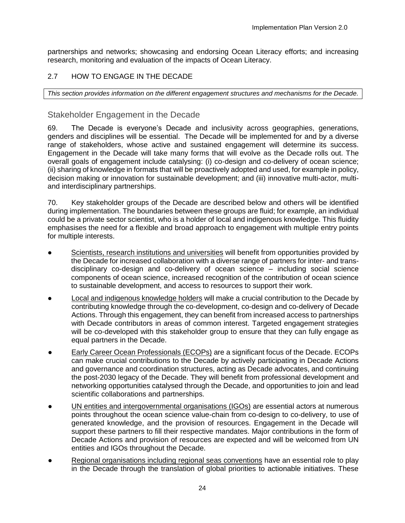partnerships and networks; showcasing and endorsing Ocean Literacy efforts; and increasing research, monitoring and evaluation of the impacts of Ocean Literacy.

# <span id="page-31-0"></span>2.7 HOW TO ENGAGE IN THE DECADE

*This section provides information on the different engagement structures and mechanisms for the Decade.*

# Stakeholder Engagement in the Decade

69. The Decade is everyone's Decade and inclusivity across geographies, generations, genders and disciplines will be essential. The Decade will be implemented for and by a diverse range of stakeholders, whose active and sustained engagement will determine its success. Engagement in the Decade will take many forms that will evolve as the Decade rolls out. The overall goals of engagement include catalysing: (i) co-design and co-delivery of ocean science; (ii) sharing of knowledge in formats that will be proactively adopted and used, for example in policy, decision making or innovation for sustainable development; and (iii) innovative multi-actor, multiand interdisciplinary partnerships.

70. Key stakeholder groups of the Decade are described below and others will be identified during implementation. The boundaries between these groups are fluid; for example, an individual could be a private sector scientist, who is a holder of local and indigenous knowledge. This fluidity emphasises the need for a flexible and broad approach to engagement with multiple entry points for multiple interests.

- Scientists, research institutions and universities will benefit from opportunities provided by the Decade for increased collaboration with a diverse range of partners for inter- and transdisciplinary co-design and co-delivery of ocean science – including social science components of ocean science, increased recognition of the contribution of ocean science to sustainable development, and access to resources to support their work.
- Local and indigenous knowledge holders will make a crucial contribution to the Decade by contributing knowledge through the co-development, co-design and co-delivery of Decade Actions. Through this engagement, they can benefit from increased access to partnerships with Decade contributors in areas of common interest. Targeted engagement strategies will be co-developed with this stakeholder group to ensure that they can fully engage as equal partners in the Decade.
- **Early Career Ocean Professionals (ECOPs) are a significant focus of the Decade. ECOPs** can make crucial contributions to the Decade by actively participating in Decade Actions and governance and coordination structures, acting as Decade advocates, and continuing the post-2030 legacy of the Decade. They will benefit from professional development and networking opportunities catalysed through the Decade, and opportunities to join and lead scientific collaborations and partnerships.
- UN entities and intergovernmental organisations (IGOs) are essential actors at numerous points throughout the ocean science value-chain from co-design to co-delivery, to use of generated knowledge, and the provision of resources. Engagement in the Decade will support these partners to fill their respective mandates. Major contributions in the form of Decade Actions and provision of resources are expected and will be welcomed from UN entities and IGOs throughout the Decade.
- Regional organisations including regional seas conventions have an essential role to play in the Decade through the translation of global priorities to actionable initiatives. These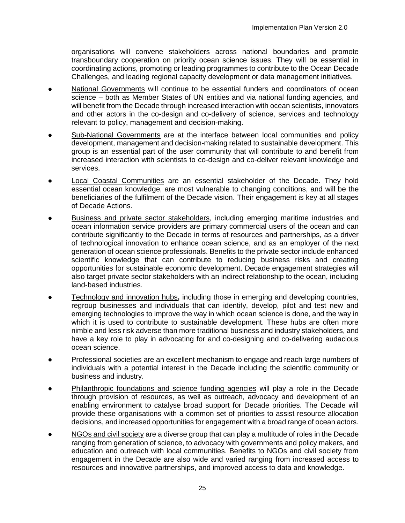organisations will convene stakeholders across national boundaries and promote transboundary cooperation on priority ocean science issues. They will be essential in coordinating actions, promoting or leading programmes to contribute to the Ocean Decade Challenges, and leading regional capacity development or data management initiatives.

- National Governments will continue to be essential funders and coordinators of ocean science – both as Member States of UN entities and via national funding agencies, and will benefit from the Decade through increased interaction with ocean scientists, innovators and other actors in the co-design and co-delivery of science, services and technology relevant to policy, management and decision-making.
- Sub-National Governments are at the interface between local communities and policy development, management and decision-making related to sustainable development. This group is an essential part of the user community that will contribute to and benefit from increased interaction with scientists to co-design and co-deliver relevant knowledge and services.
- Local Coastal Communities are an essential stakeholder of the Decade. They hold essential ocean knowledge, are most vulnerable to changing conditions, and will be the beneficiaries of the fulfilment of the Decade vision. Their engagement is key at all stages of Decade Actions.
- Business and private sector stakeholders, including emerging maritime industries and ocean information service providers are primary commercial users of the ocean and can contribute significantly to the Decade in terms of resources and partnerships, as a driver of technological innovation to enhance ocean science, and as an employer of the next generation of ocean science professionals. Benefits to the private sector include enhanced scientific knowledge that can contribute to reducing business risks and creating opportunities for sustainable economic development. Decade engagement strategies will also target private sector stakeholders with an indirect relationship to the ocean, including land-based industries.
- **Technology and innovation hubs, including those in emerging and developing countries,** regroup businesses and individuals that can identify, develop, pilot and test new and emerging technologies to improve the way in which ocean science is done, and the way in which it is used to contribute to sustainable development. These hubs are often more nimble and less risk adverse than more traditional business and industry stakeholders, and have a key role to play in advocating for and co-designing and co-delivering audacious ocean science.
- Professional societies are an excellent mechanism to engage and reach large numbers of individuals with a potential interest in the Decade including the scientific community or business and industry.
- Philanthropic foundations and science funding agencies will play a role in the Decade through provision of resources, as well as outreach, advocacy and development of an enabling environment to catalyse broad support for Decade priorities. The Decade will provide these organisations with a common set of priorities to assist resource allocation decisions, and increased opportunities for engagement with a broad range of ocean actors.
- NGOs and civil society are a diverse group that can play a multitude of roles in the Decade ranging from generation of science, to advocacy with governments and policy makers, and education and outreach with local communities. Benefits to NGOs and civil society from engagement in the Decade are also wide and varied ranging from increased access to resources and innovative partnerships, and improved access to data and knowledge.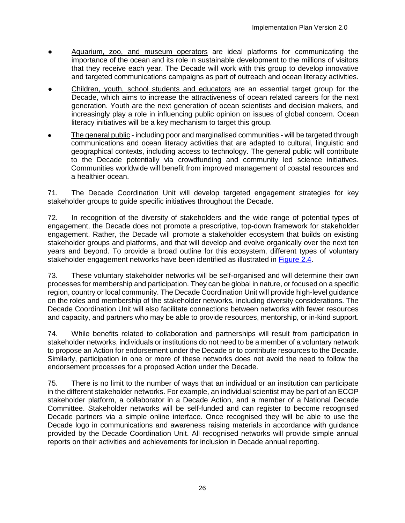- Aquarium, zoo, and museum operators are ideal platforms for communicating the importance of the ocean and its role in sustainable development to the millions of visitors that they receive each year. The Decade will work with this group to develop innovative and targeted communications campaigns as part of outreach and ocean literacy activities.
- Children, youth, school students and educators are an essential target group for the Decade, which aims to increase the attractiveness of ocean related careers for the next generation. Youth are the next generation of ocean scientists and decision makers, and increasingly play a role in influencing public opinion on issues of global concern. Ocean literacy initiatives will be a key mechanism to target this group.
- The general public including poor and marginalised communities will be targeted through communications and ocean literacy activities that are adapted to cultural, linguistic and geographical contexts, including access to technology. The general public will contribute to the Decade potentially via crowdfunding and community led science initiatives. Communities worldwide will benefit from improved management of coastal resources and a healthier ocean.

71. The Decade Coordination Unit will develop targeted engagement strategies for key stakeholder groups to guide specific initiatives throughout the Decade.

72. In recognition of the diversity of stakeholders and the wide range of potential types of engagement, the Decade does not promote a prescriptive, top-down framework for stakeholder engagement. Rather, the Decade will promote a stakeholder ecosystem that builds on existing stakeholder groups and platforms, and that will develop and evolve organically over the next ten years and beyond. To provide a broad outline for this ecosystem, different types of voluntary stakeholder engagement networks have been identified as illustrated in [Figure 2.4.](#page-34-0)

73. These voluntary stakeholder networks will be self-organised and will determine their own processes for membership and participation. They can be global in nature, or focused on a specific region, country or local community. The Decade Coordination Unit will provide high-level guidance on the roles and membership of the stakeholder networks, including diversity considerations. The Decade Coordination Unit will also facilitate connections between networks with fewer resources and capacity, and partners who may be able to provide resources, mentorship, or in-kind support.

74. While benefits related to collaboration and partnerships will result from participation in stakeholder networks, individuals or institutions do not need to be a member of a voluntary network to propose an Action for endorsement under the Decade or to contribute resources to the Decade. Similarly, participation in one or more of these networks does not avoid the need to follow the endorsement processes for a proposed Action under the Decade.

75. There is no limit to the number of ways that an individual or an institution can participate in the different stakeholder networks. For example, an individual scientist may be part of an ECOP stakeholder platform, a collaborator in a Decade Action, and a member of a National Decade Committee. Stakeholder networks will be self-funded and can register to become recognised Decade partners via a simple online interface. Once recognised they will be able to use the Decade logo in communications and awareness raising materials in accordance with guidance provided by the Decade Coordination Unit. All recognised networks will provide simple annual reports on their activities and achievements for inclusion in Decade annual reporting.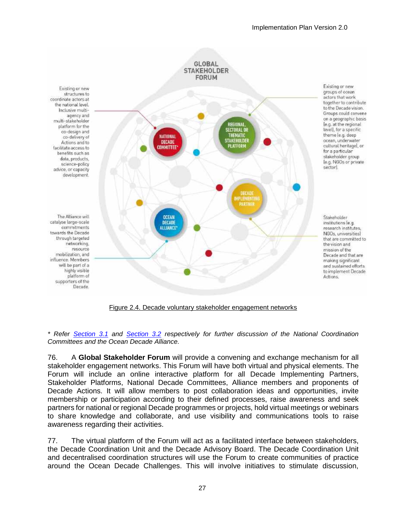

Figure 2.4. Decade voluntary stakeholder engagement networks

<span id="page-34-0"></span>*\* Refer [Section](#page-37-1) 3.1 and [Section 3.2](#page-43-0) respectively for further discussion of the National Coordination Committees and the Ocean Decade Alliance.* 

76. A **Global Stakeholder Forum** will provide a convening and exchange mechanism for all stakeholder engagement networks. This Forum will have both virtual and physical elements. The Forum will include an online interactive platform for all Decade Implementing Partners, Stakeholder Platforms, National Decade Committees, Alliance members and proponents of Decade Actions. It will allow members to post collaboration ideas and opportunities, invite membership or participation according to their defined processes, raise awareness and seek partners for national or regional Decade programmes or projects, hold virtual meetings or webinars to share knowledge and collaborate, and use visibility and communications tools to raise awareness regarding their activities.

77. The virtual platform of the Forum will act as a facilitated interface between stakeholders, the Decade Coordination Unit and the Decade Advisory Board. The Decade Coordination Unit and decentralised coordination structures will use the Forum to create communities of practice around the Ocean Decade Challenges. This will involve initiatives to stimulate discussion,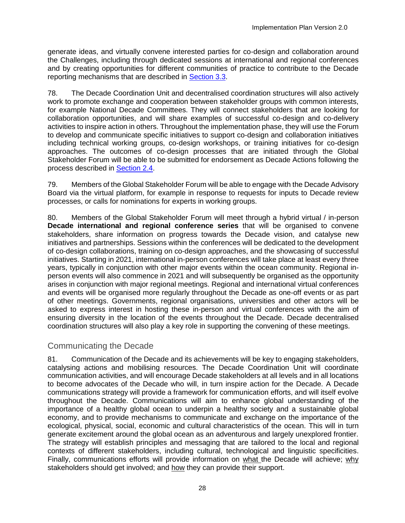generate ideas, and virtually convene interested parties for co-design and collaboration around the Challenges, including through dedicated sessions at international and regional conferences and by creating opportunities for different communities of practice to contribute to the Decade reporting mechanisms that are described in [Section 3.3.](#page-47-0)

78. The Decade Coordination Unit and decentralised coordination structures will also actively work to promote exchange and cooperation between stakeholder groups with common interests, for example National Decade Committees. They will connect stakeholders that are looking for collaboration opportunities, and will share examples of successful co-design and co-delivery activities to inspire action in others. Throughout the implementation phase, they will use the Forum to develop and communicate specific initiatives to support co-design and collaboration initiatives including technical working groups, co-design workshops, or training initiatives for co-design approaches. The outcomes of co-design processes that are initiated through the Global Stakeholder Forum will be able to be submitted for endorsement as Decade Actions following the process described in [Section 2.4.](#page-22-0)

79. Members of the Global Stakeholder Forum will be able to engage with the Decade Advisory Board via the virtual platform, for example in response to requests for inputs to Decade review processes, or calls for nominations for experts in working groups.

80. Members of the Global Stakeholder Forum will meet through a hybrid virtual / in-person **Decade international and regional conference series** that will be organised to convene stakeholders, share information on progress towards the Decade vision, and catalyse new initiatives and partnerships. Sessions within the conferences will be dedicated to the development of co-design collaborations, training on co-design approaches, and the showcasing of successful initiatives. Starting in 2021, international in-person conferences will take place at least every three years, typically in conjunction with other major events within the ocean community. Regional inperson events will also commence in 2021 and will subsequently be organised as the opportunity arises in conjunction with major regional meetings. Regional and international virtual conferences and events will be organised more regularly throughout the Decade as one-off events or as part of other meetings. Governments, regional organisations, universities and other actors will be asked to express interest in hosting these in-person and virtual conferences with the aim of ensuring diversity in the location of the events throughout the Decade. Decade decentralised coordination structures will also play a key role in supporting the convening of these meetings.

# Communicating the Decade

81. Communication of the Decade and its achievements will be key to engaging stakeholders, catalysing actions and mobilising resources. The Decade Coordination Unit will coordinate communication activities, and will encourage Decade stakeholders at all levels and in all locations to become advocates of the Decade who will, in turn inspire action for the Decade. A Decade communications strategy will provide a framework for communication efforts, and will itself evolve throughout the Decade. Communications will aim to enhance global understanding of the importance of a healthy global ocean to underpin a healthy society and a sustainable global economy, and to provide mechanisms to communicate and exchange on the importance of the ecological, physical, social, economic and cultural characteristics of the ocean. This will in turn generate excitement around the global ocean as an adventurous and largely unexplored frontier. The strategy will establish principles and messaging that are tailored to the local and regional contexts of different stakeholders, including cultural, technological and linguistic specificities. Finally, communications efforts will provide information on what the Decade will achieve; why stakeholders should get involved; and how they can provide their support.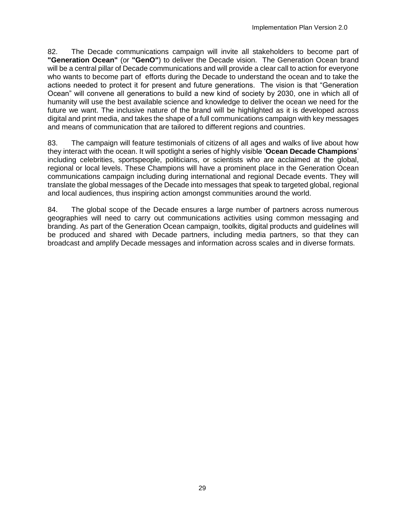82. The Decade communications campaign will invite all stakeholders to become part of **"Generation Ocean"** (or **"GenO"**) to deliver the Decade vision. The Generation Ocean brand will be a central pillar of Decade communications and will provide a clear call to action for everyone who wants to become part of efforts during the Decade to understand the ocean and to take the actions needed to protect it for present and future generations. The vision is that "Generation Ocean" will convene all generations to build a new kind of society by 2030, one in which all of humanity will use the best available science and knowledge to deliver the ocean we need for the future we want. The inclusive nature of the brand will be highlighted as it is developed across digital and print media, and takes the shape of a full communications campaign with key messages and means of communication that are tailored to different regions and countries.

83. The campaign will feature testimonials of citizens of all ages and walks of live about how they interact with the ocean. It will spotlight a series of highly visible '**Ocean Decade Champions**' including celebrities, sportspeople, politicians, or scientists who are acclaimed at the global, regional or local levels. These Champions will have a prominent place in the Generation Ocean communications campaign including during international and regional Decade events. They will translate the global messages of the Decade into messages that speak to targeted global, regional and local audiences, thus inspiring action amongst communities around the world.

84. The global scope of the Decade ensures a large number of partners across numerous geographies will need to carry out communications activities using common messaging and branding. As part of the Generation Ocean campaign, toolkits, digital products and guidelines will be produced and shared with Decade partners, including media partners, so that they can broadcast and amplify Decade messages and information across scales and in diverse formats.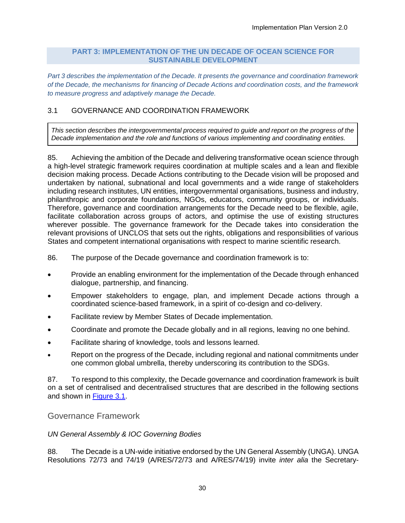#### **PART 3: IMPLEMENTATION OF THE UN DECADE OF OCEAN SCIENCE FOR SUSTAINABLE DEVELOPMENT**

<span id="page-37-0"></span>*Part 3 describes the implementation of the Decade. It presents the governance and coordination framework of the Decade, the mechanisms for financing of Decade Actions and coordination costs, and the framework to measure progress and adaptively manage the Decade.*

# <span id="page-37-1"></span>3.1 GOVERNANCE AND COORDINATION FRAMEWORK

*This section describes the intergovernmental process required to guide and report on the progress of the Decade implementation and the role and functions of various implementing and coordinating entities.*

85. Achieving the ambition of the Decade and delivering transformative ocean science through a high-level strategic framework requires coordination at multiple scales and a lean and flexible decision making process. Decade Actions contributing to the Decade vision will be proposed and undertaken by national, subnational and local governments and a wide range of stakeholders including research institutes, UN entities, intergovernmental organisations, business and industry, philanthropic and corporate foundations, NGOs, educators, community groups, or individuals. Therefore, governance and coordination arrangements for the Decade need to be flexible, agile, facilitate collaboration across groups of actors, and optimise the use of existing structures wherever possible. The governance framework for the Decade takes into consideration the relevant provisions of UNCLOS that sets out the rights, obligations and responsibilities of various States and competent international organisations with respect to marine scientific research.

86. The purpose of the Decade governance and coordination framework is to:

- Provide an enabling environment for the implementation of the Decade through enhanced dialogue, partnership, and financing.
- Empower stakeholders to engage, plan, and implement Decade actions through a coordinated science-based framework, in a spirit of co-design and co-delivery.
- Facilitate review by Member States of Decade implementation.
- Coordinate and promote the Decade globally and in all regions, leaving no one behind.
- Facilitate sharing of knowledge, tools and lessons learned.
- Report on the progress of the Decade, including regional and national commitments under one common global umbrella, thereby underscoring its contribution to the SDGs.

87. To respond to this complexity, the Decade governance and coordination framework is built on a set of centralised and decentralised structures that are described in the following sections and shown in [Figure 3.1.](#page-38-0)

## Governance Framework

## *UN General Assembly & IOC Governing Bodies*

88. The Decade is a UN-wide initiative endorsed by the UN General Assembly (UNGA). UNGA Resolutions 72/73 and 74/19 (A/RES/72/73 and A/RES/74/19) invite *inter alia* the Secretary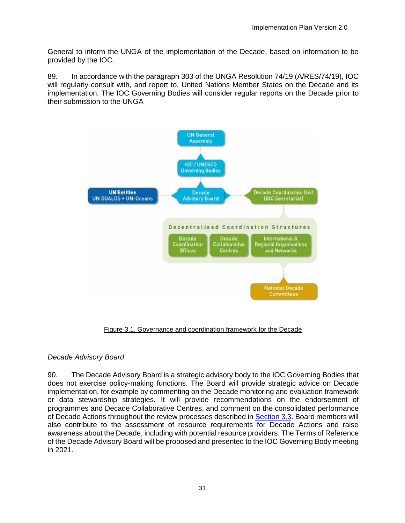General to inform the UNGA of the implementation of the Decade, based on information to be provided by the IOC.

89. In accordance with the paragraph 303 of the UNGA Resolution 74/19 (A/RES/74/19), IOC will regularly consult with, and report to, United Nations Member States on the Decade and its implementation. The IOC Governing Bodies will consider regular reports on the Decade prior to their submission to the UNGA



Figure 3.1. Governance and coordination framework for the Decade

## <span id="page-38-0"></span>*Decade Advisory Board*

90. The Decade Advisory Board is a strategic advisory body to the IOC Governing Bodies that does not exercise policy-making functions. The Board will provide strategic advice on Decade implementation, for example by commenting on the Decade monitoring and evaluation framework or data stewardship strategies. It will provide recommendations on the endorsement of programmes and Decade Collaborative Centres, and comment on the consolidated performance of Decade Actions throughout the review processes described in [Section 3.3.](#page-47-0) Board members will also contribute to the assessment of resource requirements for Decade Actions and raise awareness about the Decade, including with potential resource providers. The Terms of Reference of the Decade Advisory Board will be proposed and presented to the IOC Governing Body meeting in 2021.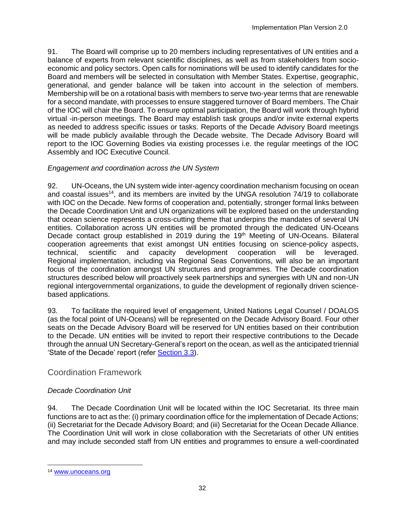91. The Board will comprise up to 20 members including representatives of UN entities and a balance of experts from relevant scientific disciplines, as well as from stakeholders from socioeconomic and policy sectors. Open calls for nominations will be used to identify candidates for the Board and members will be selected in consultation with Member States. Expertise, geographic, generational, and gender balance will be taken into account in the selection of members. Membership will be on a rotational basis with members to serve two-year terms that are renewable for a second mandate, with processes to ensure staggered turnover of Board members. The Chair of the IOC will chair the Board. To ensure optimal participation, the Board will work through hybrid virtual -in-person meetings. The Board may establish task groups and/or invite external experts as needed to address specific issues or tasks. Reports of the Decade Advisory Board meetings will be made publicly available through the Decade website. The Decade Advisory Board will report to the IOC Governing Bodies via existing processes i.e. the regular meetings of the IOC Assembly and IOC Executive Council.

# *Engagement and coordination across the UN System*

92. UN-Oceans, the UN system wide inter-agency coordination mechanism focusing on ocean and coastal issues<sup>14</sup>, and its members are invited by the UNGA resolution 74/19 to collaborate with IOC on the Decade. New forms of cooperation and, potentially, stronger formal links between the Decade Coordination Unit and UN organizations will be explored based on the understanding that ocean science represents a cross-cutting theme that underpins the mandates of several UN entities. Collaboration across UN entities will be promoted through the dedicated UN-Oceans Decade contact group established in 2019 during the 19<sup>th</sup> Meeting of UN-Oceans. Bilateral cooperation agreements that exist amongst UN entities focusing on science-policy aspects, technical, scientific and capacity development cooperation will be leveraged. Regional implementation, including via Regional Seas Conventions, will also be an important focus of the coordination amongst UN structures and programmes. The Decade coordination structures described below will proactively seek partnerships and synergies with UN and non-UN regional intergovernmental organizations, to guide the development of regionally driven sciencebased applications.

93. To facilitate the required level of engagement, United Nations Legal Counsel / DOALOS (as the focal point of UN-Oceans) will be represented on the Decade Advisory Board. Four other seats on the Decade Advisory Board will be reserved for UN entities based on their contribution to the Decade. UN entities will be invited to report their respective contributions to the Decade through the annual UN Secretary-General's report on the ocean, as well as the anticipated triennial 'State of the Decade' report (refer [Section 3.3\)](#page-47-0).

# Coordination Framework

# *Decade Coordination Unit*

94. The Decade Coordination Unit will be located within the IOC Secretariat. Its three main functions are to act as the: (i) primary coordination office for the implementation of Decade Actions; (ii) Secretariat for the Decade Advisory Board; and (iii) Secretariat for the Ocean Decade Alliance. The Coordination Unit will work in close collaboration with the Secretariats of other UN entities and may include seconded staff from UN entities and programmes to ensure a well-coordinated

l <sup>14</sup> [www.unoceans.org](http://www.unoceans.org/)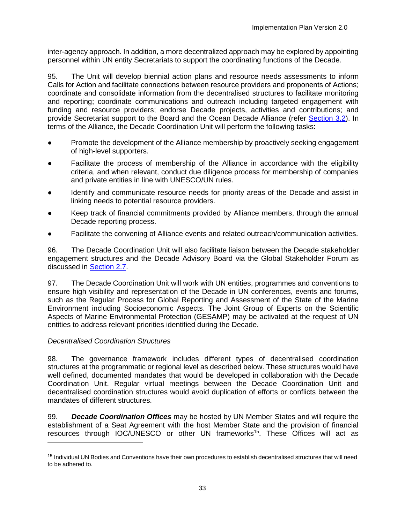inter-agency approach. In addition, a more decentralized approach may be explored by appointing personnel within UN entity Secretariats to support the coordinating functions of the Decade.

95. The Unit will develop biennial action plans and resource needs assessments to inform Calls for Action and facilitate connections between resource providers and proponents of Actions; coordinate and consolidate information from the decentralised structures to facilitate monitoring and reporting; coordinate communications and outreach including targeted engagement with funding and resource providers; endorse Decade projects, activities and contributions; and provide Secretariat support to the Board and the Ocean Decade Alliance (refer [Section 3.2\)](#page-43-0). In terms of the Alliance, the Decade Coordination Unit will perform the following tasks:

- Promote the development of the Alliance membership by proactively seeking engagement of high-level supporters.
- Facilitate the process of membership of the Alliance in accordance with the eligibility criteria, and when relevant, conduct due diligence process for membership of companies and private entities in line with UNESCO/UN rules.
- Identify and communicate resource needs for priority areas of the Decade and assist in linking needs to potential resource providers.
- Keep track of financial commitments provided by Alliance members, through the annual Decade reporting process.
- Facilitate the convening of Alliance events and related outreach/communication activities.

96. The Decade Coordination Unit will also facilitate liaison between the Decade stakeholder engagement structures and the Decade Advisory Board via the Global Stakeholder Forum as discussed in [Section 2.7.](#page-31-0)

97. The Decade Coordination Unit will work with UN entities, programmes and conventions to ensure high visibility and representation of the Decade in UN conferences, events and forums, such as the Regular Process for Global Reporting and Assessment of the State of the Marine Environment including Socioeconomic Aspects. The Joint Group of Experts on the Scientific Aspects of Marine Environmental Protection (GESAMP) may be activated at the request of UN entities to address relevant priorities identified during the Decade.

## *Decentralised Coordination Structures*

l

98. The governance framework includes different types of decentralised coordination structures at the programmatic or regional level as described below. These structures would have well defined, documented mandates that would be developed in collaboration with the Decade Coordination Unit. Regular virtual meetings between the Decade Coordination Unit and decentralised coordination structures would avoid duplication of efforts or conflicts between the mandates of different structures.

99. *Decade Coordination Offices* may be hosted by UN Member States and will require the establishment of a Seat Agreement with the host Member State and the provision of financial resources through IOC/UNESCO or other UN frameworks<sup>15</sup>. These Offices will act as

<sup>&</sup>lt;sup>15</sup> Individual UN Bodies and Conventions have their own procedures to establish decentralised structures that will need to be adhered to.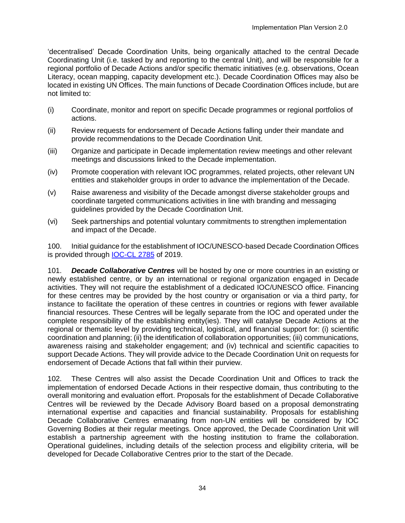'decentralised' Decade Coordination Units, being organically attached to the central Decade Coordinating Unit (i.e. tasked by and reporting to the central Unit), and will be responsible for a regional portfolio of Decade Actions and/or specific thematic initiatives (e.g. observations, Ocean Literacy, ocean mapping, capacity development etc.). Decade Coordination Offices may also be located in existing UN Offices. The main functions of Decade Coordination Offices include, but are not limited to:

- (i) Coordinate, monitor and report on specific Decade programmes or regional portfolios of actions.
- (ii) Review requests for endorsement of Decade Actions falling under their mandate and provide recommendations to the Decade Coordination Unit.
- (iii) Organize and participate in Decade implementation review meetings and other relevant meetings and discussions linked to the Decade implementation.
- (iv) Promote cooperation with relevant IOC programmes, related projects, other relevant UN entities and stakeholder groups in order to advance the implementation of the Decade.
- (v) Raise awareness and visibility of the Decade amongst diverse stakeholder groups and coordinate targeted communications activities in line with branding and messaging guidelines provided by the Decade Coordination Unit.
- (vi) Seek partnerships and potential voluntary commitments to strengthen implementation and impact of the Decade.

100. Initial guidance for the establishment of IOC/UNESCO-based Decade Coordination Offices is provided through [IOC-CL 2785](http://ioc-unesco.org/components/com_oe/oe.php?task=download&id=44336&version=1.0&lang=1&format=1) of 2019.

101. *Decade Collaborative Centres* will be hosted by one or more countries in an existing or newly established centre, or by an international or regional organization engaged in Decade activities. They will not require the establishment of a dedicated IOC/UNESCO office. Financing for these centres may be provided by the host country or organisation or via a third party, for instance to facilitate the operation of these centres in countries or regions with fewer available financial resources. These Centres will be legally separate from the IOC and operated under the complete responsibility of the establishing entity(ies). They will catalyse Decade Actions at the regional or thematic level by providing technical, logistical, and financial support for: (i) scientific coordination and planning; (ii) the identification of collaboration opportunities; (iii) communications, awareness raising and stakeholder engagement; and (iv) technical and scientific capacities to support Decade Actions. They will provide advice to the Decade Coordination Unit on requests for endorsement of Decade Actions that fall within their purview.

102. These Centres will also assist the Decade Coordination Unit and Offices to track the implementation of endorsed Decade Actions in their respective domain, thus contributing to the overall monitoring and evaluation effort. Proposals for the establishment of Decade Collaborative Centres will be reviewed by the Decade Advisory Board based on a proposal demonstrating international expertise and capacities and financial sustainability. Proposals for establishing Decade Collaborative Centres emanating from non-UN entities will be considered by IOC Governing Bodies at their regular meetings. Once approved, the Decade Coordination Unit will establish a partnership agreement with the hosting institution to frame the collaboration. Operational guidelines, including details of the selection process and eligibility criteria, will be developed for Decade Collaborative Centres prior to the start of the Decade.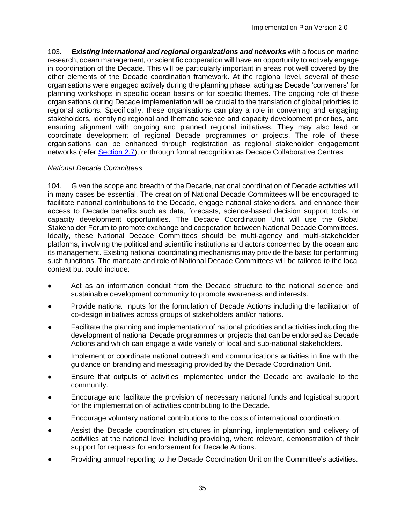103. *Existing international and regional organizations and networks* with a focus on marine research, ocean management, or scientific cooperation will have an opportunity to actively engage in coordination of the Decade. This will be particularly important in areas not well covered by the other elements of the Decade coordination framework. At the regional level, several of these organisations were engaged actively during the planning phase, acting as Decade 'conveners' for planning workshops in specific ocean basins or for specific themes. The ongoing role of these organisations during Decade implementation will be crucial to the translation of global priorities to regional actions. Specifically, these organisations can play a role in convening and engaging stakeholders, identifying regional and thematic science and capacity development priorities, and ensuring alignment with ongoing and planned regional initiatives. They may also lead or coordinate development of regional Decade programmes or projects. The role of these organisations can be enhanced through registration as regional stakeholder engagement networks (refer [Section 2.7\)](#page-31-0), or through formal recognition as Decade Collaborative Centres.

## *National Decade Committees*

104. Given the scope and breadth of the Decade, national coordination of Decade activities will in many cases be essential. The creation of National Decade Committees will be encouraged to facilitate national contributions to the Decade, engage national stakeholders, and enhance their access to Decade benefits such as data, forecasts, science-based decision support tools, or capacity development opportunities. The Decade Coordination Unit will use the Global Stakeholder Forum to promote exchange and cooperation between National Decade Committees. Ideally, these National Decade Committees should be multi-agency and multi-stakeholder platforms, involving the political and scientific institutions and actors concerned by the ocean and its management. Existing national coordinating mechanisms may provide the basis for performing such functions. The mandate and role of National Decade Committees will be tailored to the local context but could include:

- Act as an information conduit from the Decade structure to the national science and sustainable development community to promote awareness and interests.
- Provide national inputs for the formulation of Decade Actions including the facilitation of co-design initiatives across groups of stakeholders and/or nations.
- Facilitate the planning and implementation of national priorities and activities including the development of national Decade programmes or projects that can be endorsed as Decade Actions and which can engage a wide variety of local and sub-national stakeholders.
- Implement or coordinate national outreach and communications activities in line with the guidance on branding and messaging provided by the Decade Coordination Unit.
- Ensure that outputs of activities implemented under the Decade are available to the community.
- Encourage and facilitate the provision of necessary national funds and logistical support for the implementation of activities contributing to the Decade.
- Encourage voluntary national contributions to the costs of international coordination.
- Assist the Decade coordination structures in planning, implementation and delivery of activities at the national level including providing, where relevant, demonstration of their support for requests for endorsement for Decade Actions.
- Providing annual reporting to the Decade Coordination Unit on the Committee's activities.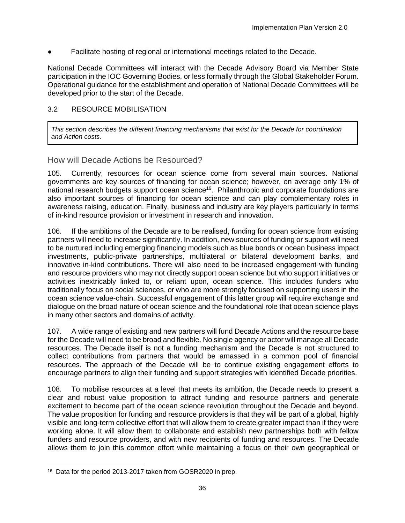Facilitate hosting of regional or international meetings related to the Decade.

National Decade Committees will interact with the Decade Advisory Board via Member State participation in the IOC Governing Bodies, or less formally through the Global Stakeholder Forum. Operational guidance for the establishment and operation of National Decade Committees will be developed prior to the start of the Decade.

## <span id="page-43-0"></span>3.2 RESOURCE MOBILISATION

*This section describes the different financing mechanisms that exist for the Decade for coordination and Action costs.* 

How will Decade Actions be Resourced?

105. Currently, resources for ocean science come from several main sources. National governments are key sources of financing for ocean science; however, on average only 1% of national research budgets support ocean science<sup>16</sup>. Philanthropic and corporate foundations are also important sources of financing for ocean science and can play complementary roles in awareness raising, education. Finally, business and industry are key players particularly in terms of in-kind resource provision or investment in research and innovation.

106. If the ambitions of the Decade are to be realised, funding for ocean science from existing partners will need to increase significantly. In addition, new sources of funding or support will need to be nurtured including emerging financing models such as blue bonds or ocean business impact investments, public-private partnerships, multilateral or bilateral development banks, and innovative in-kind contributions. There will also need to be increased engagement with funding and resource providers who may not directly support ocean science but who support initiatives or activities inextricably linked to, or reliant upon, ocean science. This includes funders who traditionally focus on social sciences, or who are more strongly focused on supporting users in the ocean science value-chain. Successful engagement of this latter group will require exchange and dialogue on the broad nature of ocean science and the foundational role that ocean science plays in many other sectors and domains of activity.

107. A wide range of existing and new partners will fund Decade Actions and the resource base for the Decade will need to be broad and flexible. No single agency or actor will manage all Decade resources. The Decade itself is not a funding mechanism and the Decade is not structured to collect contributions from partners that would be amassed in a common pool of financial resources. The approach of the Decade will be to continue existing engagement efforts to encourage partners to align their funding and support strategies with identified Decade priorities.

108. To mobilise resources at a level that meets its ambition, the Decade needs to present a clear and robust value proposition to attract funding and resource partners and generate excitement to become part of the ocean science revolution throughout the Decade and beyond. The value proposition for funding and resource providers is that they will be part of a global, highly visible and long-term collective effort that will allow them to create greater impact than if they were working alone. It will allow them to collaborate and establish new partnerships both with fellow funders and resource providers, and with new recipients of funding and resources. The Decade allows them to join this common effort while maintaining a focus on their own geographical or

l <sup>16</sup> Data for the period 2013-2017 taken from GOSR2020 in prep.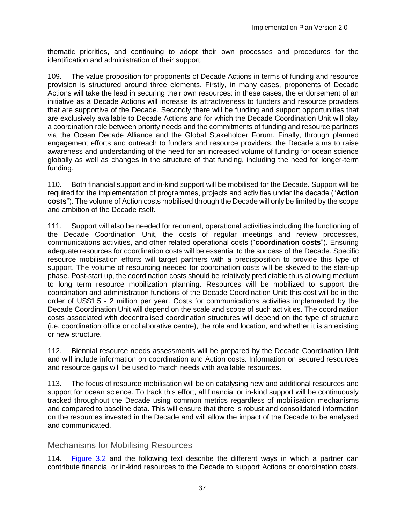thematic priorities, and continuing to adopt their own processes and procedures for the identification and administration of their support.

109. The value proposition for proponents of Decade Actions in terms of funding and resource provision is structured around three elements. Firstly, in many cases, proponents of Decade Actions will take the lead in securing their own resources: in these cases, the endorsement of an initiative as a Decade Actions will increase its attractiveness to funders and resource providers that are supportive of the Decade. Secondly there will be funding and support opportunities that are exclusively available to Decade Actions and for which the Decade Coordination Unit will play a coordination role between priority needs and the commitments of funding and resource partners via the Ocean Decade Alliance and the Global Stakeholder Forum. Finally, through planned engagement efforts and outreach to funders and resource providers, the Decade aims to raise awareness and understanding of the need for an increased volume of funding for ocean science globally as well as changes in the structure of that funding, including the need for longer-term funding.

110. Both financial support and in-kind support will be mobilised for the Decade. Support will be required for the implementation of programmes, projects and activities under the decade ("**Action costs**"). The volume of Action costs mobilised through the Decade will only be limited by the scope and ambition of the Decade itself.

111. Support will also be needed for recurrent, operational activities including the functioning of the Decade Coordination Unit, the costs of regular meetings and review processes, communications activities, and other related operational costs ("**coordination costs**"). Ensuring adequate resources for coordination costs will be essential to the success of the Decade. Specific resource mobilisation efforts will target partners with a predisposition to provide this type of support. The volume of resourcing needed for coordination costs will be skewed to the start-up phase. Post-start up, the coordination costs should be relatively predictable thus allowing medium to long term resource mobilization planning. Resources will be mobilized to support the coordination and administration functions of the Decade Coordination Unit: this cost will be in the order of US\$1.5 - 2 million per year. Costs for communications activities implemented by the Decade Coordination Unit will depend on the scale and scope of such activities. The coordination costs associated with decentralised coordination structures will depend on the type of structure (i.e. coordination office or collaborative centre), the role and location, and whether it is an existing or new structure.

112. Biennial resource needs assessments will be prepared by the Decade Coordination Unit and will include information on coordination and Action costs. Information on secured resources and resource gaps will be used to match needs with available resources.

113. The focus of resource mobilisation will be on catalysing new and additional resources and support for ocean science. To track this effort, all financial or in-kind support will be continuously tracked throughout the Decade using common metrics regardless of mobilisation mechanisms and compared to baseline data. This will ensure that there is robust and consolidated information on the resources invested in the Decade and will allow the impact of the Decade to be analysed and communicated.

## Mechanisms for Mobilising Resources

114. [Figure 3.2](#page-45-0) and the following text describe the different ways in which a partner can contribute financial or in-kind resources to the Decade to support Actions or coordination costs.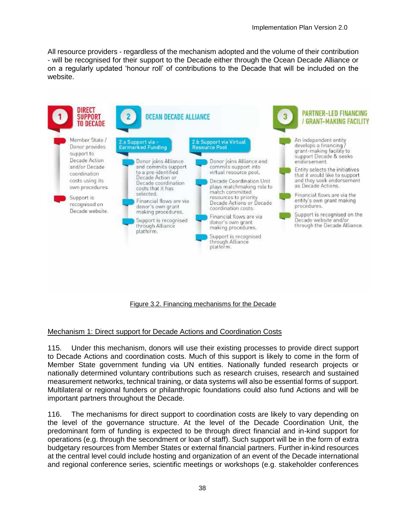All resource providers - regardless of the mechanism adopted and the volume of their contribution - will be recognised for their support to the Decade either through the Ocean Decade Alliance or on a regularly updated 'honour roll' of contributions to the Decade that will be included on the website.



#### Figure 3.2. Financing mechanisms for the Decade

#### <span id="page-45-0"></span>Mechanism 1: Direct support for Decade Actions and Coordination Costs

115. Under this mechanism, donors will use their existing processes to provide direct support to Decade Actions and coordination costs. Much of this support is likely to come in the form of Member State government funding via UN entities. Nationally funded research projects or nationally determined voluntary contributions such as research cruises, research and sustained measurement networks, technical training, or data systems will also be essential forms of support. Multilateral or regional funders or philanthropic foundations could also fund Actions and will be important partners throughout the Decade.

116. The mechanisms for direct support to coordination costs are likely to vary depending on the level of the governance structure. At the level of the Decade Coordination Unit, the predominant form of funding is expected to be through direct financial and in-kind support for operations (e.g. through the secondment or loan of staff). Such support will be in the form of extra budgetary resources from Member States or external financial partners. Further in-kind resources at the central level could include hosting and organization of an event of the Decade international and regional conference series, scientific meetings or workshops (e.g. stakeholder conferences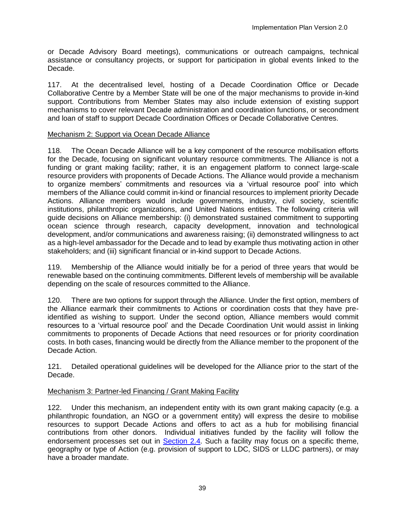or Decade Advisory Board meetings), communications or outreach campaigns, technical assistance or consultancy projects, or support for participation in global events linked to the Decade.

117. At the decentralised level, hosting of a Decade Coordination Office or Decade Collaborative Centre by a Member State will be one of the major mechanisms to provide in-kind support. Contributions from Member States may also include extension of existing support mechanisms to cover relevant Decade administration and coordination functions, or secondment and loan of staff to support Decade Coordination Offices or Decade Collaborative Centres.

## Mechanism 2: Support via Ocean Decade Alliance

118. The Ocean Decade Alliance will be a key component of the resource mobilisation efforts for the Decade, focusing on significant voluntary resource commitments. The Alliance is not a funding or grant making facility; rather, it is an engagement platform to connect large-scale resource providers with proponents of Decade Actions. The Alliance would provide a mechanism to organize members' commitments and resources via a 'virtual resource pool' into which members of the Alliance could commit in-kind or financial resources to implement priority Decade Actions. Alliance members would include governments, industry, civil society, scientific institutions, philanthropic organizations, and United Nations entities. The following criteria will guide decisions on Alliance membership: (i) demonstrated sustained commitment to supporting ocean science through research, capacity development, innovation and technological development, and/or communications and awareness raising; (ii) demonstrated willingness to act as a high-level ambassador for the Decade and to lead by example thus motivating action in other stakeholders; and (iii) significant financial or in-kind support to Decade Actions.

119. Membership of the Alliance would initially be for a period of three years that would be renewable based on the continuing commitments. Different levels of membership will be available depending on the scale of resources committed to the Alliance.

120. There are two options for support through the Alliance. Under the first option, members of the Alliance earmark their commitments to Actions or coordination costs that they have preidentified as wishing to support. Under the second option, Alliance members would commit resources to a 'virtual resource pool' and the Decade Coordination Unit would assist in linking commitments to proponents of Decade Actions that need resources or for priority coordination costs. In both cases, financing would be directly from the Alliance member to the proponent of the Decade Action.

121. Detailed operational guidelines will be developed for the Alliance prior to the start of the Decade.

## Mechanism 3: Partner-led Financing / Grant Making Facility

122. Under this mechanism, an independent entity with its own grant making capacity (e.g. a philanthropic foundation, an NGO or a government entity) will express the desire to mobilise resources to support Decade Actions and offers to act as a hub for mobilising financial contributions from other donors. Individual initiatives funded by the facility will follow the endorsement processes set out in [Section 2.4.](#page-22-0) Such a facility may focus on a specific theme, geography or type of Action (e.g. provision of support to LDC, SIDS or LLDC partners), or may have a broader mandate.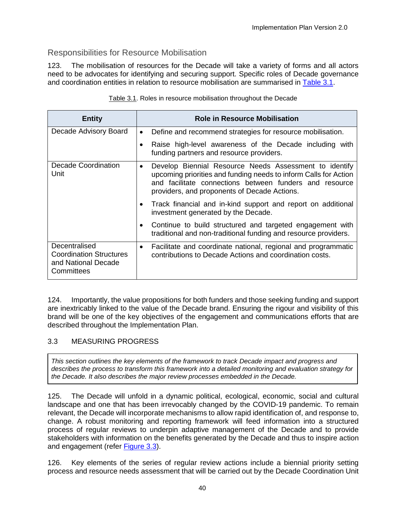# Responsibilities for Resource Mobilisation

123. The mobilisation of resources for the Decade will take a variety of forms and all actors need to be advocates for identifying and securing support. Specific roles of Decade governance and coordination entities in relation to resource mobilisation are summarised in [Table 3.1.](#page-47-1)

<span id="page-47-1"></span>

| <b>Entity</b>                                                                        | <b>Role in Resource Mobilisation</b>                                                                                                                                                                                                               |
|--------------------------------------------------------------------------------------|----------------------------------------------------------------------------------------------------------------------------------------------------------------------------------------------------------------------------------------------------|
| Decade Advisory Board                                                                | Define and recommend strategies for resource mobilisation.<br>$\bullet$                                                                                                                                                                            |
|                                                                                      | Raise high-level awareness of the Decade including with<br>funding partners and resource providers.                                                                                                                                                |
| <b>Decade Coordination</b><br>Unit                                                   | Develop Biennial Resource Needs Assessment to identify<br>$\bullet$<br>upcoming priorities and funding needs to inform Calls for Action<br>and facilitate connections between funders and resource<br>providers, and proponents of Decade Actions. |
|                                                                                      | Track financial and in-kind support and report on additional<br>investment generated by the Decade.                                                                                                                                                |
|                                                                                      | Continue to build structured and targeted engagement with<br>traditional and non-traditional funding and resource providers.                                                                                                                       |
| Decentralised<br><b>Coordination Structures</b><br>and National Decade<br>Committees | Facilitate and coordinate national, regional and programmatic<br>$\bullet$<br>contributions to Decade Actions and coordination costs.                                                                                                              |

|  | Table 3.1. Roles in resource mobilisation throughout the Decade |
|--|-----------------------------------------------------------------|

124. Importantly, the value propositions for both funders and those seeking funding and support are inextricably linked to the value of the Decade brand. Ensuring the rigour and visibility of this brand will be one of the key objectives of the engagement and communications efforts that are described throughout the Implementation Plan.

## <span id="page-47-0"></span>3.3 MEASURING PROGRESS

*This section outlines the key elements of the framework to track Decade impact and progress and describes the process to transform this framework into a detailed monitoring and evaluation strategy for the Decade. It also describes the major review processes embedded in the Decade.*

125. The Decade will unfold in a dynamic political, ecological, economic, social and cultural landscape and one that has been irrevocably changed by the COVID-19 pandemic. To remain relevant, the Decade will incorporate mechanisms to allow rapid identification of, and response to, change. A robust monitoring and reporting framework will feed information into a structured process of regular reviews to underpin adaptive management of the Decade and to provide stakeholders with information on the benefits generated by the Decade and thus to inspire action and engagement (refer [Figure 3.3\)](#page-49-0).

126. Key elements of the series of regular review actions include a biennial priority setting process and resource needs assessment that will be carried out by the Decade Coordination Unit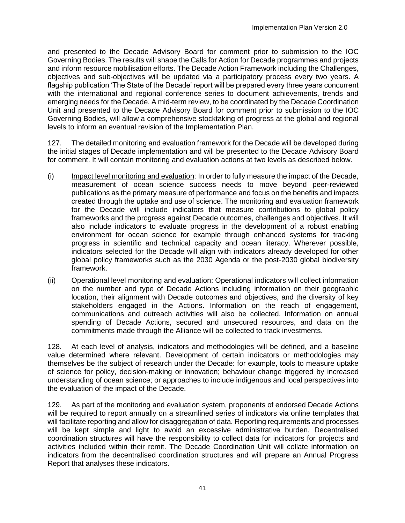and presented to the Decade Advisory Board for comment prior to submission to the IOC Governing Bodies. The results will shape the Calls for Action for Decade programmes and projects and inform resource mobilisation efforts. The Decade Action Framework including the Challenges, objectives and sub-objectives will be updated via a participatory process every two years. A flagship publication 'The State of the Decade' report will be prepared every three years concurrent with the international and regional conference series to document achievements, trends and emerging needs for the Decade. A mid-term review, to be coordinated by the Decade Coordination Unit and presented to the Decade Advisory Board for comment prior to submission to the IOC Governing Bodies, will allow a comprehensive stocktaking of progress at the global and regional levels to inform an eventual revision of the Implementation Plan.

127. The detailed monitoring and evaluation framework for the Decade will be developed during the initial stages of Decade implementation and will be presented to the Decade Advisory Board for comment. It will contain monitoring and evaluation actions at two levels as described below.

- (i) Impact level monitoring and evaluation: In order to fully measure the impact of the Decade, measurement of ocean science success needs to move beyond peer-reviewed publications as the primary measure of performance and focus on the benefits and impacts created through the uptake and use of science. The monitoring and evaluation framework for the Decade will include indicators that measure contributions to global policy frameworks and the progress against Decade outcomes, challenges and objectives. It will also include indicators to evaluate progress in the development of a robust enabling environment for ocean science for example through enhanced systems for tracking progress in scientific and technical capacity and ocean literacy. Wherever possible, indicators selected for the Decade will align with indicators already developed for other global policy frameworks such as the 2030 Agenda or the post-2030 global biodiversity framework.
- (ii) Operational level monitoring and evaluation: Operational indicators will collect information on the number and type of Decade Actions including information on their geographic location, their alignment with Decade outcomes and objectives, and the diversity of key stakeholders engaged in the Actions. Information on the reach of engagement, communications and outreach activities will also be collected. Information on annual spending of Decade Actions, secured and unsecured resources, and data on the commitments made through the Alliance will be collected to track investments.

128. At each level of analysis, indicators and methodologies will be defined, and a baseline value determined where relevant. Development of certain indicators or methodologies may themselves be the subject of research under the Decade: for example, tools to measure uptake of science for policy, decision-making or innovation; behaviour change triggered by increased understanding of ocean science; or approaches to include indigenous and local perspectives into the evaluation of the impact of the Decade.

129. As part of the monitoring and evaluation system, proponents of endorsed Decade Actions will be required to report annually on a streamlined series of indicators via online templates that will facilitate reporting and allow for disaggregation of data. Reporting requirements and processes will be kept simple and light to avoid an excessive administrative burden. Decentralised coordination structures will have the responsibility to collect data for indicators for projects and activities included within their remit. The Decade Coordination Unit will collate information on indicators from the decentralised coordination structures and will prepare an Annual Progress Report that analyses these indicators.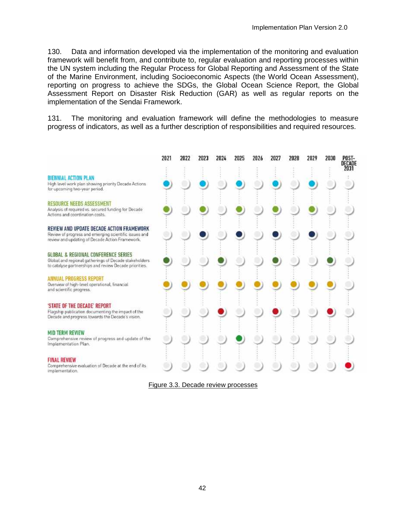130. Data and information developed via the implementation of the monitoring and evaluation framework will benefit from, and contribute to, regular evaluation and reporting processes within the UN system including the Regular Process for Global Reporting and Assessment of the State of the Marine Environment, including Socioeconomic Aspects (the World Ocean Assessment), reporting on progress to achieve the SDGs, the Global Ocean Science Report, the Global Assessment Report on Disaster Risk Reduction (GAR) as well as regular reports on the implementation of the Sendai Framework.

131. The monitoring and evaluation framework will define the methodologies to measure progress of indicators, as well as a further description of responsibilities and required resources.

|                                                                                                                                                        | 2021 | 2022 | 2023 | 2024 | 2025 | 2026 | 2027 | 2028 | 2029 | 2030 | POST-<br>DECADE |
|--------------------------------------------------------------------------------------------------------------------------------------------------------|------|------|------|------|------|------|------|------|------|------|-----------------|
| <b>BIENNIAL ACTION PLAN</b><br>High level work plan showing priority Decade Actions<br>for upcoming two-year period.                                   |      |      |      |      |      |      |      |      |      |      | 2031            |
| <b>RESOURCE NEEDS ASSESSMENT</b><br>Analysis of required vs. secured funding for Decade<br>Actions and coordination costs.                             |      |      |      |      |      |      |      |      |      |      |                 |
| REVIEW AND UPDATE DECADE ACTION FRAMEWORK<br>Review of progress and emerging scientific issues and<br>review and updating of Decade Action Framework.  |      |      |      |      |      |      |      |      |      |      |                 |
| GLOBAL & REGIONAL CONFERENCE SERIES<br>Global and regional gatherings of Decade stakeholders<br>to catalyse partnerships and review Decade priorities. |      |      |      |      |      |      |      |      |      |      |                 |
| ANNUAL PROGRESS REPORT<br>Overview of high-level operational, financial<br>and scientific progress.                                                    |      |      |      |      |      |      |      |      |      |      |                 |
| 'STATE OF THE DECADE' REPORT<br>Flagship publication documenting the impact of the<br>Decade and progress towards the Decade's vision.                 |      |      |      |      |      |      |      |      |      |      |                 |
| <b>MID TERM REVIEW</b><br>Comprehensive review of progress and update of the<br>Implementation Plan.                                                   |      |      |      |      |      |      |      |      |      |      |                 |
| <b>FINAL REVIEW</b><br>Comprehensive evaluation of Decade at the end of its<br>implementation.                                                         |      |      |      |      |      |      |      |      |      |      |                 |

<span id="page-49-0"></span>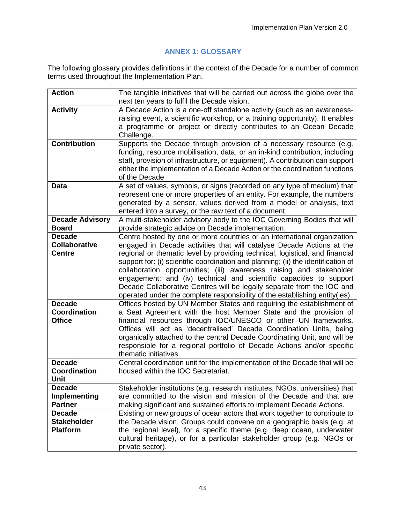## **ANNEX 1: GLOSSARY**

<span id="page-50-0"></span>The following glossary provides definitions in the context of the Decade for a number of common terms used throughout the Implementation Plan.

| <b>Action</b>                                          | The tangible initiatives that will be carried out across the globe over the<br>next ten years to fulfil the Decade vision.                                                                                                                                                                                                                                                                                                                                                                                                                                                                                                    |
|--------------------------------------------------------|-------------------------------------------------------------------------------------------------------------------------------------------------------------------------------------------------------------------------------------------------------------------------------------------------------------------------------------------------------------------------------------------------------------------------------------------------------------------------------------------------------------------------------------------------------------------------------------------------------------------------------|
| <b>Activity</b>                                        | A Decade Action is a one-off standalone activity (such as an awareness-<br>raising event, a scientific workshop, or a training opportunity). It enables<br>a programme or project or directly contributes to an Ocean Decade<br>Challenge.                                                                                                                                                                                                                                                                                                                                                                                    |
| <b>Contribution</b>                                    | Supports the Decade through provision of a necessary resource (e.g.<br>funding, resource mobilisation, data, or an in-kind contribution, including<br>staff, provision of infrastructure, or equipment). A contribution can support<br>either the implementation of a Decade Action or the coordination functions<br>of the Decade                                                                                                                                                                                                                                                                                            |
| <b>Data</b>                                            | A set of values, symbols, or signs (recorded on any type of medium) that<br>represent one or more properties of an entity. For example, the numbers<br>generated by a sensor, values derived from a model or analysis, text<br>entered into a survey, or the raw text of a document.                                                                                                                                                                                                                                                                                                                                          |
| <b>Decade Advisory</b><br><b>Board</b>                 | A multi-stakeholder advisory body to the IOC Governing Bodies that will<br>provide strategic advice on Decade implementation.                                                                                                                                                                                                                                                                                                                                                                                                                                                                                                 |
| <b>Decade</b><br><b>Collaborative</b><br><b>Centre</b> | Centre hosted by one or more countries or an international organization<br>engaged in Decade activities that will catalyse Decade Actions at the<br>regional or thematic level by providing technical, logistical, and financial<br>support for: (i) scientific coordination and planning; (ii) the identification of<br>collaboration opportunities; (iii) awareness raising and stakeholder<br>engagement; and (iv) technical and scientific capacities to support<br>Decade Collaborative Centres will be legally separate from the IOC and<br>operated under the complete responsibility of the establishing entity(ies). |
| <b>Decade</b><br>Coordination<br><b>Office</b>         | Offices hosted by UN Member States and requiring the establishment of<br>a Seat Agreement with the host Member State and the provision of<br>financial resources through IOC/UNESCO or other UN frameworks.<br>Offices will act as 'decentralised' Decade Coordination Units, being<br>organically attached to the central Decade Coordinating Unit, and will be<br>responsible for a regional portfolio of Decade Actions and/or specific<br>thematic initiatives                                                                                                                                                            |
| <b>Decade</b><br><b>Coordination</b><br><b>Unit</b>    | Central coordination unit for the implementation of the Decade that will be<br>housed within the IOC Secretariat.                                                                                                                                                                                                                                                                                                                                                                                                                                                                                                             |
| <b>Decade</b><br>Implementing<br><b>Partner</b>        | Stakeholder institutions (e.g. research institutes, NGOs, universities) that<br>are committed to the vision and mission of the Decade and that are<br>making significant and sustained efforts to implement Decade Actions.                                                                                                                                                                                                                                                                                                                                                                                                   |
| <b>Decade</b><br><b>Stakeholder</b><br><b>Platform</b> | Existing or new groups of ocean actors that work together to contribute to<br>the Decade vision. Groups could convene on a geographic basis (e.g. at<br>the regional level), for a specific theme (e.g. deep ocean, underwater<br>cultural heritage), or for a particular stakeholder group (e.g. NGOs or<br>private sector).                                                                                                                                                                                                                                                                                                 |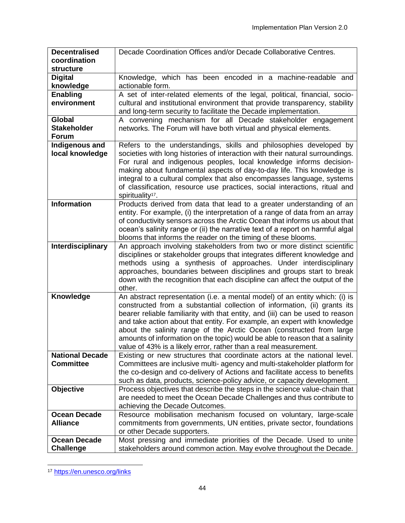| <b>Decentralised</b>   | Decade Coordination Offices and/or Decade Collaborative Centres.                                                                            |
|------------------------|---------------------------------------------------------------------------------------------------------------------------------------------|
| coordination           |                                                                                                                                             |
| structure              |                                                                                                                                             |
| <b>Digital</b>         | Knowledge, which has been encoded in a machine-readable and                                                                                 |
| knowledge              | actionable form.                                                                                                                            |
| <b>Enabling</b>        | A set of inter-related elements of the legal, political, financial, socio-                                                                  |
| environment            | cultural and institutional environment that provide transparency, stability                                                                 |
|                        | and long-term security to facilitate the Decade implementation.                                                                             |
| Global                 | A convening mechanism for all Decade stakeholder engagement                                                                                 |
| <b>Stakeholder</b>     | networks. The Forum will have both virtual and physical elements.                                                                           |
| <b>Forum</b>           |                                                                                                                                             |
| Indigenous and         | Refers to the understandings, skills and philosophies developed by                                                                          |
| local knowledge        | societies with long histories of interaction with their natural surroundings.                                                               |
|                        | For rural and indigenous peoples, local knowledge informs decision-                                                                         |
|                        | making about fundamental aspects of day-to-day life. This knowledge is                                                                      |
|                        | integral to a cultural complex that also encompasses language, systems                                                                      |
|                        | of classification, resource use practices, social interactions, ritual and                                                                  |
|                        | spirituality <sup>17</sup> .                                                                                                                |
| <b>Information</b>     | Products derived from data that lead to a greater understanding of an                                                                       |
|                        | entity. For example, (i) the interpretation of a range of data from an array                                                                |
|                        | of conductivity sensors across the Arctic Ocean that informs us about that                                                                  |
|                        | ocean's salinity range or (ii) the narrative text of a report on harmful algal                                                              |
|                        | blooms that informs the reader on the timing of these blooms.                                                                               |
| Interdisciplinary      | An approach involving stakeholders from two or more distinct scientific                                                                     |
|                        | disciplines or stakeholder groups that integrates different knowledge and                                                                   |
|                        | methods using a synthesis of approaches. Under interdisciplinary                                                                            |
|                        | approaches, boundaries between disciplines and groups start to break                                                                        |
|                        | down with the recognition that each discipline can affect the output of the                                                                 |
|                        | other.                                                                                                                                      |
| Knowledge              | An abstract representation (i.e. a mental model) of an entity which: (i) is                                                                 |
|                        | constructed from a substantial collection of information, (ii) grants its                                                                   |
|                        | bearer reliable familiarity with that entity, and (iii) can be used to reason                                                               |
|                        | and take action about that entity. For example, an expert with knowledge                                                                    |
|                        | about the salinity range of the Arctic Ocean (constructed from large                                                                        |
|                        | amounts of information on the topic) would be able to reason that a salinity                                                                |
| <b>National Decade</b> | value of 43% is a likely error, rather than a real measurement.<br>Existing or new structures that coordinate actors at the national level. |
| <b>Committee</b>       | Committees are inclusive multi- agency and multi-stakeholder platform for                                                                   |
|                        | the co-design and co-delivery of Actions and facilitate access to benefits                                                                  |
|                        | such as data, products, science-policy advice, or capacity development.                                                                     |
| Objective              | Process objectives that describe the steps in the science value-chain that                                                                  |
|                        | are needed to meet the Ocean Decade Challenges and thus contribute to                                                                       |
|                        | achieving the Decade Outcomes.                                                                                                              |
| <b>Ocean Decade</b>    | Resource mobilisation mechanism focused on voluntary, large-scale                                                                           |
| <b>Alliance</b>        | commitments from governments, UN entities, private sector, foundations                                                                      |
|                        | or other Decade supporters.                                                                                                                 |
| <b>Ocean Decade</b>    | Most pressing and immediate priorities of the Decade. Used to unite                                                                         |
| <b>Challenge</b>       | stakeholders around common action. May evolve throughout the Decade.                                                                        |
|                        |                                                                                                                                             |

l <sup>17</sup> <https://en.unesco.org/links>